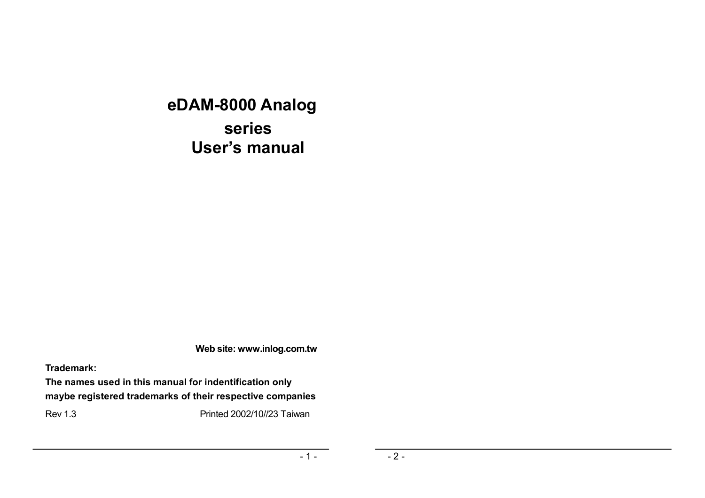# **eDAM-8000 Analog series User's manual**

**Web site: www.inlog.com.tw** 

**Trademark:** 

**The names used in this manual for indentification only maybe registered trademarks of their respective companies** 

Rev 1.3 Printed 2002/10//23 Taiwan

 $-1 -$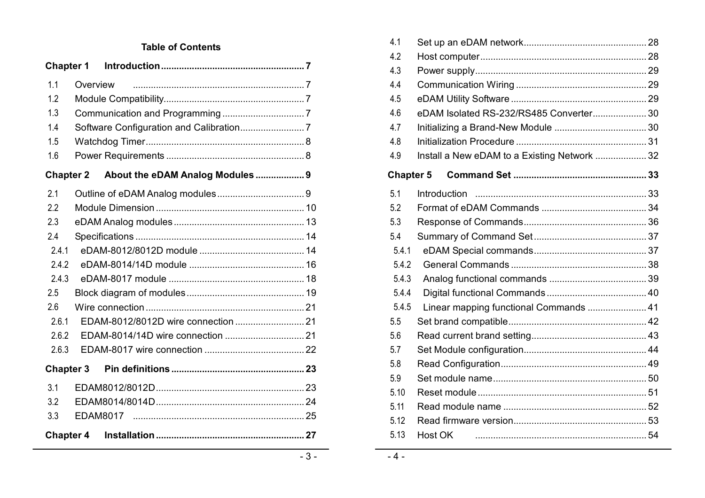### **Table of Contents**

| <b>Chapter 1</b> |          |                                  |  |
|------------------|----------|----------------------------------|--|
| 1.1              | Overview |                                  |  |
| 1.2              |          |                                  |  |
| 1.3              |          |                                  |  |
| 1.4              |          |                                  |  |
| 1.5              |          |                                  |  |
| 1.6              |          |                                  |  |
| <b>Chapter 2</b> |          | About the eDAM Analog Modules  9 |  |
| 2.1              |          |                                  |  |
| 2.2              |          |                                  |  |
| 2.3              |          |                                  |  |
| 2.4              |          |                                  |  |
| 2.4.1            |          |                                  |  |
| 2.4.2            |          |                                  |  |
| 2.4.3            |          |                                  |  |
| 2.5              |          |                                  |  |
| 2.6              |          |                                  |  |
| 2.6.1            |          |                                  |  |
| 2.6.2            |          |                                  |  |
| 2.6.3            |          |                                  |  |
| <b>Chapter 3</b> |          |                                  |  |
| 3.1              |          |                                  |  |
| 3.2              |          |                                  |  |
| 3.3              |          |                                  |  |
| <b>Chapter 4</b> |          |                                  |  |
|                  |          |                                  |  |

| 4.1              |                                              |
|------------------|----------------------------------------------|
| 4.2              |                                              |
| 4.3              |                                              |
| 4.4              |                                              |
| 4.5              |                                              |
| 4.6              | eDAM Isolated RS-232/RS485 Converter 30      |
| 4.7              |                                              |
| 4.8              |                                              |
| 4.9              | Install a New eDAM to a Existing Network  32 |
| <b>Chapter 5</b> |                                              |
| 5.1              |                                              |
| 5.2              |                                              |
| 5.3              |                                              |
| 5.4              |                                              |
| 5.4.1            |                                              |
| 5.4.2            |                                              |
| 5.4.3            |                                              |
| 5.4.4            |                                              |
| 5.4.5            | Linear mapping functional Commands  41       |
| 5.5              |                                              |
| 5.6              |                                              |
| 5.7              |                                              |
| 5.8              |                                              |
| 5.9              |                                              |
| 5.10             |                                              |
| 5.11             |                                              |
| 5.12             |                                              |
| 5.13             | Host OK                                      |

 $-4-$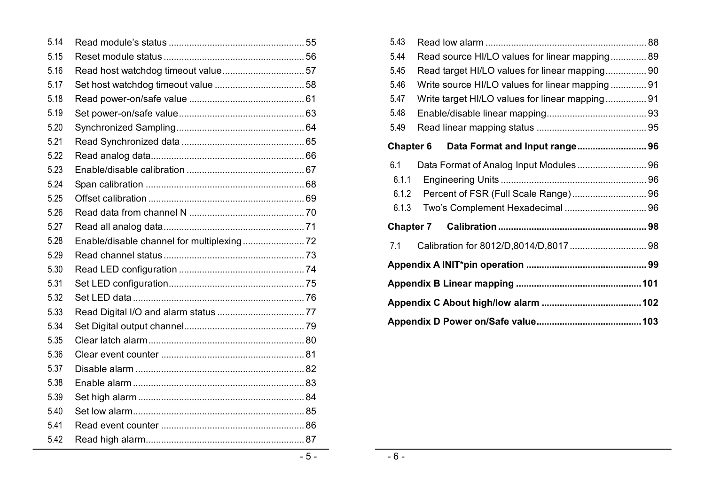| 5.14 |       |
|------|-------|
| 5.15 |       |
| 5.16 |       |
| 5.17 |       |
| 5.18 |       |
| 5.19 |       |
| 5.20 |       |
| 5.21 |       |
| 5.22 |       |
| 5.23 |       |
| 5.24 |       |
| 5.25 |       |
| 5.26 |       |
| 5.27 |       |
| 5.28 |       |
| 5.29 |       |
| 5.30 |       |
| 5.31 |       |
| 5.32 |       |
| 5.33 |       |
| 5.34 |       |
| 5.35 |       |
| 5.36 |       |
| 5.37 |       |
| 5.38 |       |
| 5.39 |       |
| 5.40 |       |
| 5.41 |       |
| 5.42 |       |
|      | $-5-$ |

| 5.43             |                                                 |  |  |  |  |
|------------------|-------------------------------------------------|--|--|--|--|
| 5.44             | Read source HI/LO values for linear mapping 89  |  |  |  |  |
| 5.45             | Read target HI/LO values for linear mapping 90  |  |  |  |  |
| 5.46             | Write source HI/LO values for linear mapping 91 |  |  |  |  |
| 5.47             | Write target HI/LO values for linear mapping 91 |  |  |  |  |
| 5.48             |                                                 |  |  |  |  |
| 5.49             |                                                 |  |  |  |  |
| <b>Chapter 6</b> | Data Format and Input range 96                  |  |  |  |  |
| 6.1              | Data Format of Analog Input Modules 96          |  |  |  |  |
| 6.1.1            |                                                 |  |  |  |  |
| 6.1.2            |                                                 |  |  |  |  |
| 6.1.3            |                                                 |  |  |  |  |
| <b>Chapter 7</b> |                                                 |  |  |  |  |
| 7.1              |                                                 |  |  |  |  |
|                  |                                                 |  |  |  |  |
|                  |                                                 |  |  |  |  |
|                  |                                                 |  |  |  |  |
|                  |                                                 |  |  |  |  |

 $-6 -$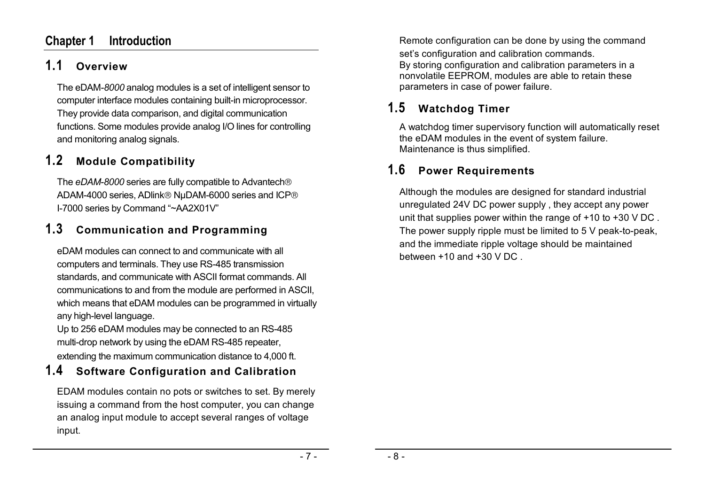## **Chapter 1 Introduction**

# **1.1 Overview**

The eDAM*-8000* analog modules is a set of intelligent sensor to computer interface modules containing built-in microprocessor. They provide data comparison, and digital communication functions. Some modules provide analog I/O lines for controlling and monitoring analog signals.

# **1.2 Module Compatibility**

The *eDAM-8000* series are fully compatible to Advantech ADAM-4000 series, ADlink® NµDAM-6000 series and ICP® I-7000 series by Command "~AA2X01V"

# **1.3 Communication and Programming**

eDAM modules can connect to and communicate with all computers and terminals. They use RS-485 transmission standards, and communicate with ASCII format commands. All communications to and from the module are performed in ASCII, which means that eDAM modules can be programmed in virtually any high-level language.

Up to 256 eDAM modules may be connected to an RS-485 multi-drop network by using the eDAM RS-485 repeater, extending the maximum communication distance to 4,000 ft.

# **1.4 Software Configuration and Calibration**

EDAM modules contain no pots or switches to set. By merely issuing a command from the host computer, you can change an analog input module to accept several ranges of voltage input.

Remote configuration can be done by using the command set's configuration and calibration commands. By storing configuration and calibration parameters in a nonvolatile EEPROM, modules are able to retain these parameters in case of power failure.

# **1.5 Watchdog Timer**

A watchdog timer supervisory function will automatically reset the eDAM modules in the event of system failure. Maintenance is thus simplified.

# **1.6 Power Requirements**

Although the modules are designed for standard industrial unregulated 24V DC power supply , they accept any power unit that supplies power within the range of +10 to +30 V DC . The power supply ripple must be limited to 5 V peak-to-peak, and the immediate ripple voltage should be maintained between +10 and +30 V DC .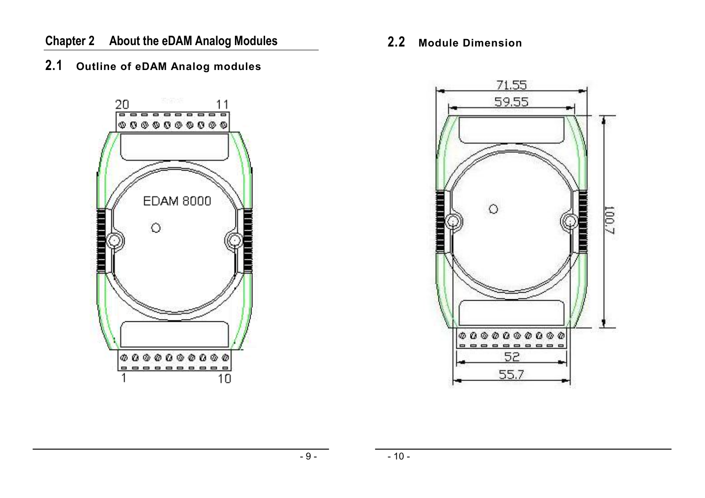# **2.1 Outline of eDAM Analog modules**



**2.2 Module Dimension** 

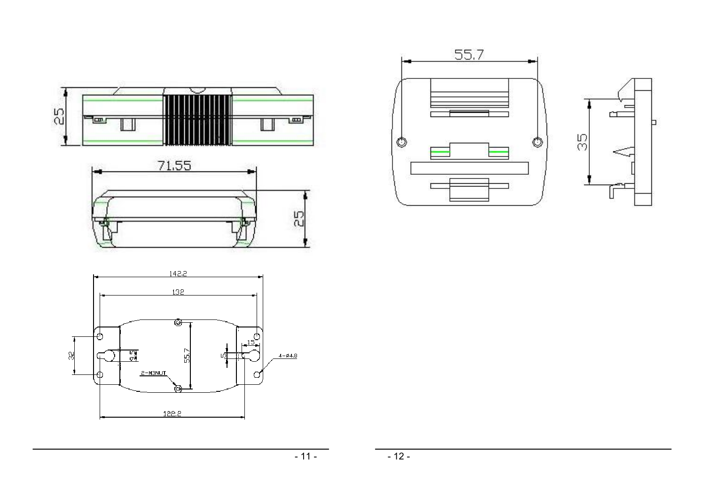







Ь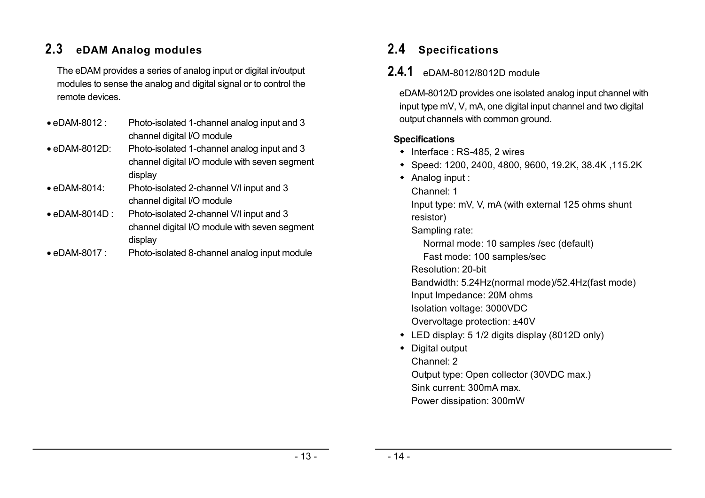# **2.3 eDAM Analog modules**

The eDAM provides a series of analog input or digital in/output modules to sense the analog and digital signal or to control the remote devices.

- eDAM-8012 : Photo-isolated 1-channel analog input and 3 channel digital I/O module
- eDAM-8012D: Photo-isolated 1-channel analog input and 3 channel digital I/O module with seven segment display
- eDAM-8014: Photo-isolated 2-channel V/I input and 3 channel digital I/O module
- eDAM-8014D : Photo-isolated 2-channel V/I input and 3 channel digital I/O module with seven segment display
- eDAM-8017 : Photo-isolated 8-channel analog input module

# **2.4 Specifications**

# **2.4.1** eDAM-8012/8012D module

eDAM-8012/D provides one isolated analog input channel with input type mV, V, mA, one digital input channel and two digital output channels with common ground.

### **Specifications**

- $\bullet$  Interface : RS-485, 2 wires
- Speed: 1200, 2400, 4800, 9600, 19.2K, 38.4K ,115.2K
- Analog input :
	- Channel: 1

Input type: mV, V, mA (with external 125 ohms shunt resistor)

Sampling rate:

Normal mode: 10 samples /sec (default)

Fast mode: 100 samples/sec

Resolution: 20-bit

Bandwidth: 5.24Hz(normal mode)/52.4Hz(fast mode)

- Input Impedance: 20M ohms
- Isolation voltage: 3000VDC
- Overvoltage protection: ±40V
- LED display: 5 1/2 digits display (8012D only)
- Digital output Channel: 2 Output type: Open collector (30VDC max.) Sink current: 300mA max.

Power dissipation: 300mW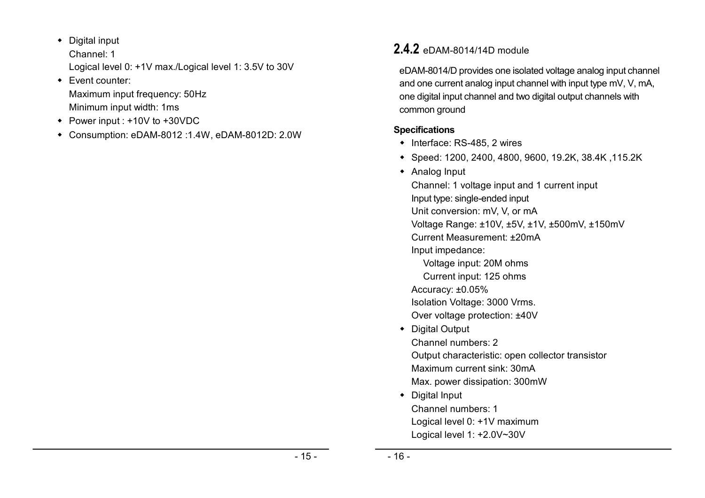- Digital input Channel: 1 Logical level 0: +1V max./Logical level 1: 3.5V to 30V
- Event counter: Maximum input frequency: 50Hz Minimum input width: 1ms
- Power input : +10V to +30VDC
- Consumption: eDAM-8012 :1.4W, eDAM-8012D: 2.0W

# **2.4.2** eDAM-8014/14D module

eDAM-8014/D provides one isolated voltage analog input channel and one current analog input channel with input type mV, V, mA, one digital input channel and two digital output channels with common ground

### **Specifications**

- $\bullet$  Interface: RS-485, 2 wires
- Speed: 1200, 2400, 4800, 9600, 19.2K, 38.4K ,115.2K
- Analog Input

Channel: 1 voltage input and 1 current input Input type: single-ended input Unit conversion: mV, V, or mA Voltage Range: ±10V, ±5V, ±1V, ±500mV, ±150mV Current Measurement: ±20mA Input impedance: Voltage input: 20M ohms Current input: 125 ohms Accuracy: ±0.05% Isolation Voltage: 3000 Vrms. Over voltage protection: ±40V Digital Output Channel numbers: 2 Output characteristic: open collector transistor Maximum current sink: 30mA Max. power dissipation: 300mW Digital Input Channel numbers: 1 Logical level 0: +1V maximum Logical level 1: +2.0V~30V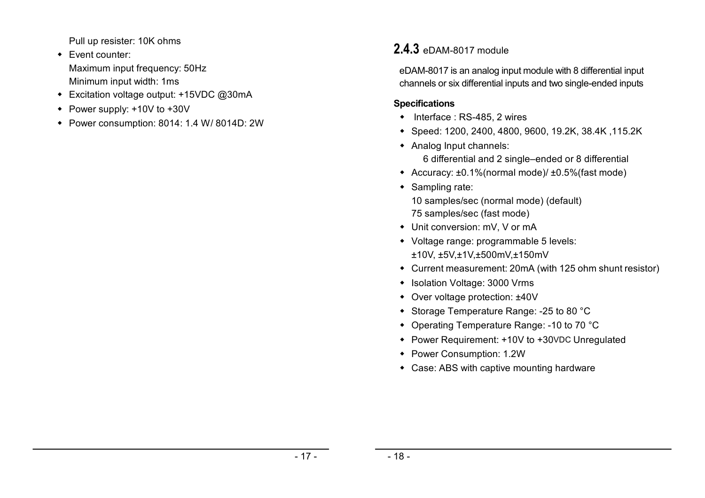Pull up resister: 10K ohms

- Event counter: Maximum input frequency: 50Hz Minimum input width: 1ms
- Excitation voltage output: +15VDC @30mA
- Power supply: +10V to +30V
- Power consumption: 8014: 1.4 W/ 8014D: 2W

# **2.4.3** eDAM-8017 module

eDAM-8017 is an analog input module with 8 differential input channels or six differential inputs and two single-ended inputs

### **Specifications**

- Interface : RS-485, 2 wires
- Speed: 1200, 2400, 4800, 9600, 19.2K, 38.4K ,115.2K
- Analog Input channels:

6 differential and 2 single–ended or 8 differential

- Accuracy: ±0.1%(normal mode)/ ±0.5%(fast mode)
- Sampling rate:

10 samples/sec (normal mode) (default) 75 samples/sec (fast mode)

- Unit conversion: mV, V or mA
- Voltage range: programmable 5 levels: ±10V, ±5V,±1V,±500mV,±150mV
- Current measurement: 20mA (with 125 ohm shunt resistor)
- Isolation Voltage: 3000 Vrms
- Over voltage protection: ±40V
- Storage Temperature Range: -25 to 80 °C
- Operating Temperature Range: -10 to 70 °C
- Power Requirement: +10V to +30VDC Unregulated
- Power Consumption: 1.2W
- Case: ABS with captive mounting hardware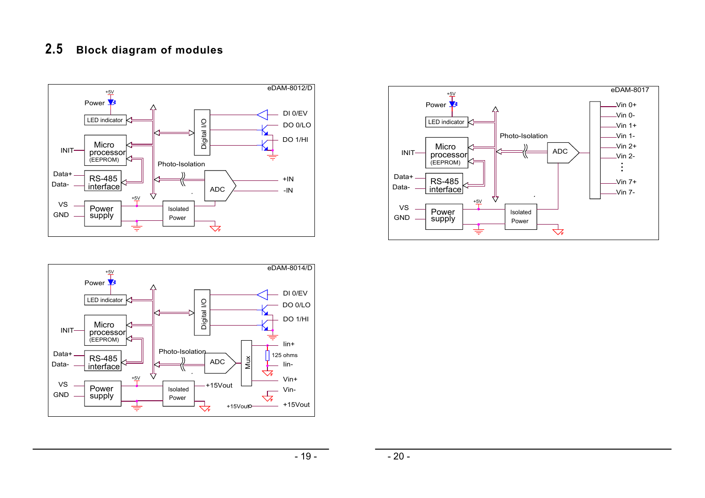### **2.5 Block diagram of modules**





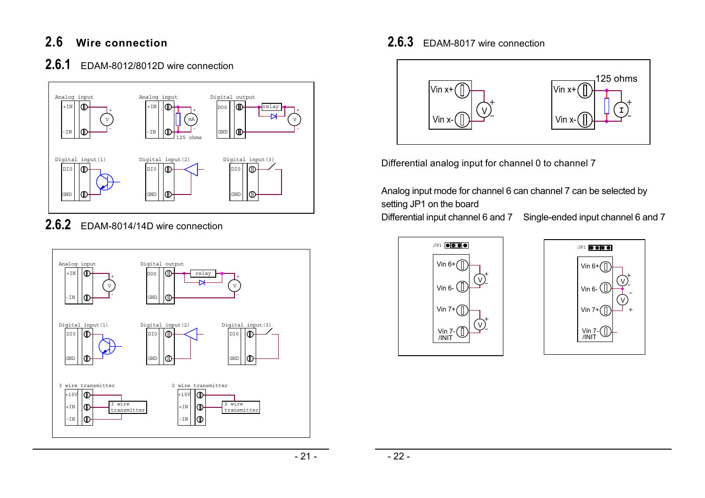# **2.6 Wire connection**

## **2.6.1** EDAM-8012/8012D wire connection



**2.6.2** EDAM-8014/14D wire connection



# **2.6.3** EDAM-8017 wire connection



Differential analog input for channel 0 to channel 7

Analog input mode for channel 6 can channel 7 can be selected by setting JP1 on the board

Differential input channel 6 and 7 Single-ended input channel 6 and 7



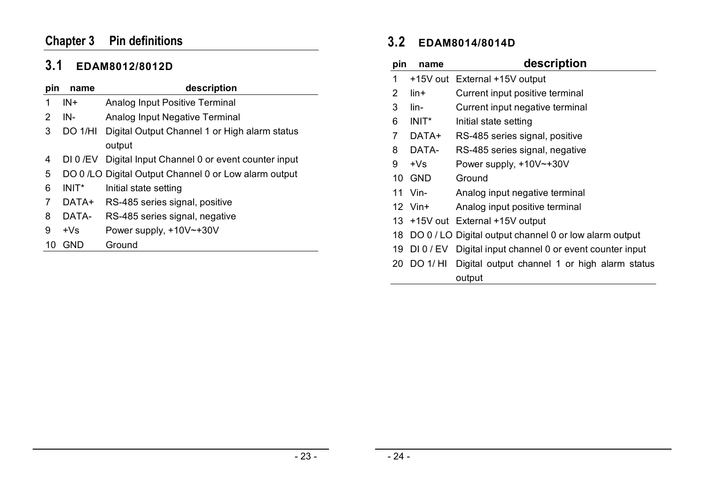# **Chapter 3 Pin definitions**

# **3.1 EDAM8012/8012D**

| pin | name     | description                                           |
|-----|----------|-------------------------------------------------------|
| 1   | $IN +$   | <b>Analog Input Positive Terminal</b>                 |
| 2   | IN-      | Analog Input Negative Terminal                        |
| 3   | DO 1/HI  | Digital Output Channel 1 or High alarm status         |
|     |          | output                                                |
| 4   | DI 0 /EV | Digital Input Channel 0 or event counter input        |
| 5   |          | DO 0 /LO Digital Output Channel 0 or Low alarm output |
| 6   | $INIT^*$ | Initial state setting                                 |
| 7   | DATA+    | RS-485 series signal, positive                        |
| 8   | DATA-    | RS-485 series signal, negative                        |
| 9   | $+Vs$    | Power supply, $+10V$ $-+30V$                          |
| 10  | GND      | Ground                                                |
|     |          |                                                       |

# **3.2 EDAM8014/8014D**

| pin            | name          | description                                               |
|----------------|---------------|-----------------------------------------------------------|
| 1              |               | +15V out External +15V output                             |
| $\overline{2}$ | lin+          | Current input positive terminal                           |
| 3              | lin-          | Current input negative terminal                           |
| 6              | $INIT^*$      | Initial state setting                                     |
| 7              | DATA+         | RS-485 series signal, positive                            |
| 8              | DATA-         | RS-485 series signal, negative                            |
| 9              | $+Vs$         | Power supply, $+10V$ $+30V$                               |
|                | <b>10 GND</b> | Ground                                                    |
|                | 11 Vin-       | Analog input negative terminal                            |
|                | $12$ Vin+     | Analog input positive terminal                            |
|                |               | 13 +15V out External +15V output                          |
|                |               | 18 DO 0 / LO Digital output channel 0 or low alarm output |
| 19             |               | DI 0 / EV Digital input channel 0 or event counter input  |
|                | 20 DO 1/ HI   | Digital output channel 1 or high alarm status             |
|                |               | output                                                    |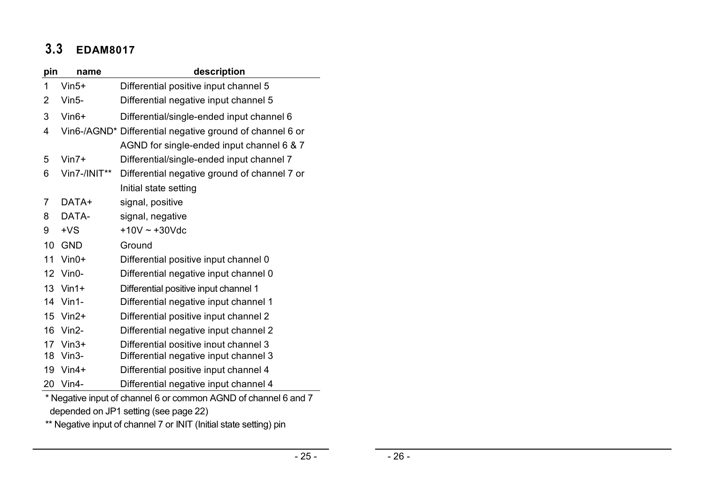# **3.3 EDAM8017**

| pin            | name         | description                                                   |
|----------------|--------------|---------------------------------------------------------------|
| 1              | $V$ in5+     | Differential positive input channel 5                         |
| 2              | Vin5-        | Differential negative input channel 5                         |
| 3              | $V$ in $6+$  | Differential/single-ended input channel 6                     |
| 4              |              | Vin6-/AGND* Differential negative ground of channel 6 or      |
|                |              | AGND for single-ended input channel 6 & 7                     |
| 5              | $V$ in7+     | Differential/single-ended input channel 7                     |
| 6              | Vin7-/INIT** | Differential negative ground of channel 7 or                  |
|                |              | Initial state setting                                         |
| $\overline{7}$ | DATA+        | signal, positive                                              |
| 8              | DATA-        | signal, negative                                              |
| 9              | $+VS$        | $+10V - +30V$ dc                                              |
| 10             | <b>GND</b>   | Ground                                                        |
| 11             | $V$ in0+     | Differential positive input channel 0                         |
| 12             | $V$ in0-     | Differential negative input channel 0                         |
| 13             | $V$ in1+     | Differential positive input channel 1                         |
| 14             | $V$ in 1-    | Differential negative input channel 1                         |
| 15             | $V$ in $2+$  | Differential positive input channel 2                         |
| 16             | $V$ in2-     | Differential negative input channel 2                         |
| 17             | $V$ in 3+    | Differential positive input channel 3                         |
| 18             | $V$ in 3-    | Differential negative input channel 3                         |
| 19             | $V$ in4+     | Differential positive input channel 4                         |
| 20             | $V$ in4-     | Differential negative input channel 4                         |
|                |              | * Negotive input of channel 6 or common ACND of channel 6 and |

\* Negative input of channel 6 or common AGND of channel 6 and 7 depended on JP1 setting (see page 22)

\*\* Negative input of channel 7 or INIT (Initial state setting) pin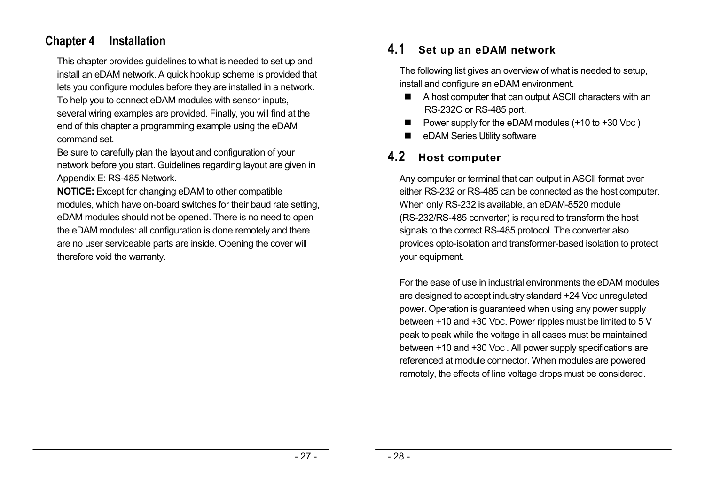### **Chapter 4 Installation**

This chapter provides guidelines to what is needed to set up and install an eDAM network. A quick hookup scheme is provided that lets you configure modules before they are installed in a network.

To help you to connect eDAM modules with sensor inputs, several wiring examples are provided. Finally, you will find at the end of this chapter a programming example using the eDAM command set.

Be sure to carefully plan the layout and configuration of your network before you start. Guidelines regarding layout are given in Appendix E: RS-485 Network.

**NOTICE:** Except for changing eDAM to other compatible modules, which have on-board switches for their baud rate setting, eDAM modules should not be opened. There is no need to open the eDAM modules: all configuration is done remotely and there are no user serviceable parts are inside. Opening the cover will therefore void the warranty.

# **4.1 Set up an eDAM network**

The following list gives an overview of what is needed to setup, install and configure an eDAM environment.

- A host computer that can output ASCII characters with an RS-232C or RS-485 port.
- Power supply for the eDAM modules (+10 to +30 VDC)
- eDAM Series Utility software

# **4.2 Host computer**

Any computer or terminal that can output in ASCII format over either RS-232 or RS-485 can be connected as the host computer. When only RS-232 is available, an eDAM-8520 module (RS-232/RS-485 converter) is required to transform the host signals to the correct RS-485 protocol. The converter also provides opto-isolation and transformer-based isolation to protect your equipment.

For the ease of use in industrial environments the eDAM modules are designed to accept industry standard +24 VDC unregulated power. Operation is guaranteed when using any power supply between +10 and +30 VDC. Power ripples must be limited to 5 V peak to peak while the voltage in all cases must be maintained between +10 and +30 VDC. All power supply specifications are referenced at module connector. When modules are powered remotely, the effects of line voltage drops must be considered.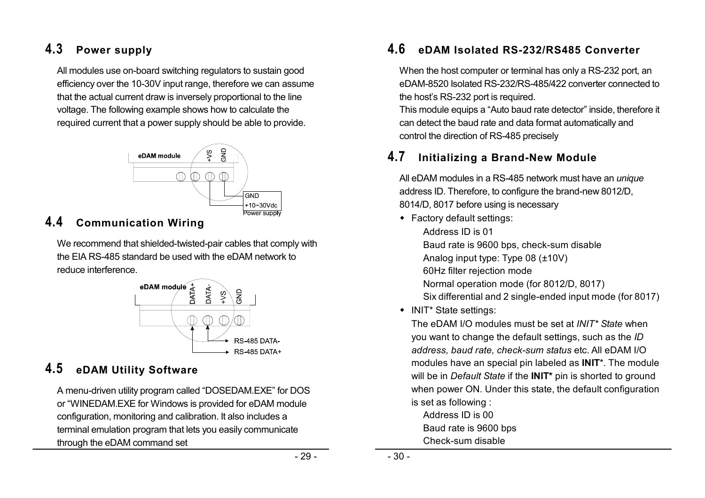# **4.3 Power supply**

All modules use on-board switching regulators to sustain good efficiency over the 10-30V input range, therefore we can assume that the actual current draw is inversely proportional to the line voltage. The following example shows how to calculate the required current that a power supply should be able to provide.



# **4.4 Communication Wiring**

We recommend that shielded-twisted-pair cables that comply with the EIA RS-485 standard be used with the eDAM network to reduce interference.



# **4.5 eDAM Utility Software**

A menu-driven utility program called "DOSEDAM.EXE" for DOS or "WINEDAM.EXE for Windows is provided for eDAM module configuration, monitoring and calibration. It also includes a terminal emulation program that lets you easily communicate through the eDAM command set

# **4.6 eDAM Isolated RS-232/RS485 Converter**

When the host computer or terminal has only a RS-232 port, an eDAM-8520 Isolated RS-232/RS-485/422 converter connected to the host's RS-232 port is required.

This module equips a "Auto baud rate detector" inside, therefore it can detect the baud rate and data format automatically and control the direction of RS-485 precisely

# **4.7 Initializing a Brand-New Module**

All eDAM modules in a RS-485 network must have an *unique*  address ID. Therefore, to configure the brand-new 8012/D, 8014/D, 8017 before using is necessary

- Factory default settings:
	- Address ID is 01

Baud rate is 9600 bps, check-sum disable

Analog input type: Type 08 (±10V)

- 60Hz filter rejection mode
- Normal operation mode (for 8012/D, 8017)
- Six differential and 2 single-ended input mode (for 8017)
- INIT\* State settings:

The eDAM I/O modules must be set at *INIT\* State* when you want to change the default settings, such as the *ID address, baud rate, check-sum status* etc. All eDAM I/O modules have an special pin labeled as **INIT**\*. The module will be in *Default State* if the **INIT\*** pin is shorted to ground when power ON. Under this state, the default configuration is set as following :

Address ID is 00 Baud rate is 9600 bps Check-sum disable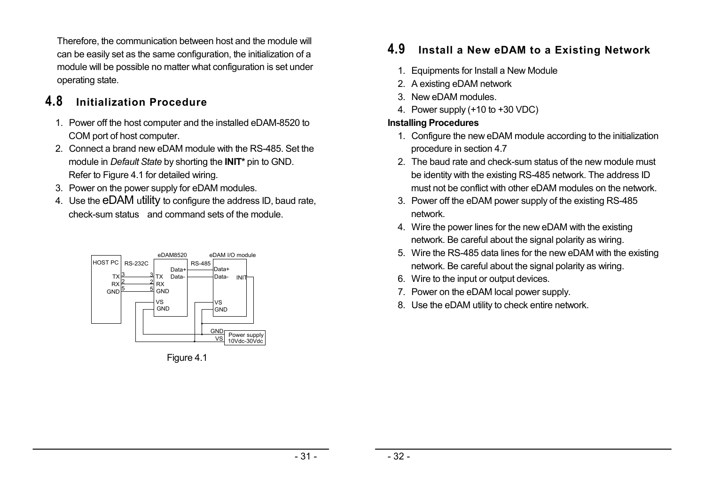Therefore, the communication between host and the module will can be easily set as the same configuration, the initialization of a module will be possible no matter what configuration is set under operating state.

# **4.8 Initialization Procedure**

- 1. Power off the host computer and the installed eDAM-8520 to COM port of host computer.
- 2. Connect a brand new eDAM module with the RS-485. Set the module in *Default State* by shorting the **INIT\*** pin to GND. Refer to Figure 4.1 for detailed wiring.
- 3. Power on the power supply for eDAM modules.
- 4. Use the eDAM utility to configure the address ID, baud rate, check-sum status and command sets of the module.



Figure 4.1

# **4.9 Install a New eDAM to a Existing Network**

- 1. Equipments for Install a New Module
- 2. A existing eDAM network
- 3. New eDAM modules.
- 4. Power supply (+10 to +30 VDC)

### **Installing Procedures**

- 1. Configure the new eDAM module according to the initialization procedure in section 4.7
- 2. The baud rate and check-sum status of the new module must be identity with the existing RS-485 network. The address ID must not be conflict with other eDAM modules on the network.
- 3. Power off the eDAM power supply of the existing RS-485 network.
- 4. Wire the power lines for the new eDAM with the existing network. Be careful about the signal polarity as wiring.
- 5. Wire the RS-485 data lines for the new eDAM with the existing network. Be careful about the signal polarity as wiring.
- 6. Wire to the input or output devices.
- 7. Power on the eDAM local power supply.
- 8. Use the eDAM utility to check entire network.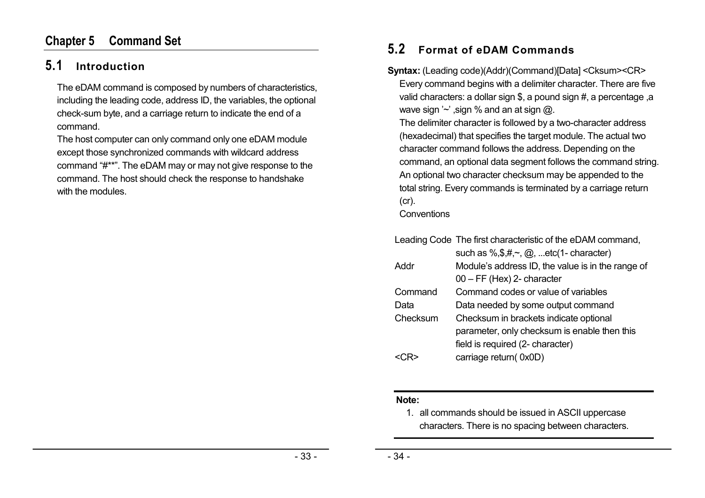### **Chapter 5 Command Set**

# **5.1 Introduction**

The eDAM command is composed by numbers of characteristics, including the leading code, address ID, the variables, the optional check-sum byte, and a carriage return to indicate the end of a command.

The host computer can only command only one eDAM module except those synchronized commands with wildcard address command "#\*\*". The eDAM may or may not give response to the command. The host should check the response to handshake with the modules.

## **5.2 Format of eDAM Commands**

**Syntax:** (Leading code)(Addr)(Command)[Data] <Cksum><CR> Every command begins with a delimiter character. There are five valid characters: a dollar sign \$, a pound sign #, a percentage ,a wave sign  $\sim$  , sign % and an at sign  $\omega$ . The delimiter character is followed by a two-character address (hexadecimal) that specifies the target module. The actual two character command follows the address. Depending on the command, an optional data segment follows the command string. An optional two character checksum may be appended to the total string. Every commands is terminated by a carriage return (cr).

**Conventions** 

|          | Leading Code The first characteristic of the eDAM command,<br>such as $\%,\$ ,\#,\sim,\omega, etc(1- character) |
|----------|-----------------------------------------------------------------------------------------------------------------|
| Addr     | Module's address ID, the value is in the range of                                                               |
|          | $00 - FF$ (Hex) 2- character                                                                                    |
| Command  | Command codes or value of variables                                                                             |
| Data     | Data needed by some output command                                                                              |
| Checksum | Checksum in brackets indicate optional                                                                          |
|          | parameter, only checksum is enable then this                                                                    |
|          | field is required (2- character)                                                                                |
|          | carriage return(0x0D)                                                                                           |

#### **Note:**

1. all commands should be issued in ASCII uppercase characters. There is no spacing between characters.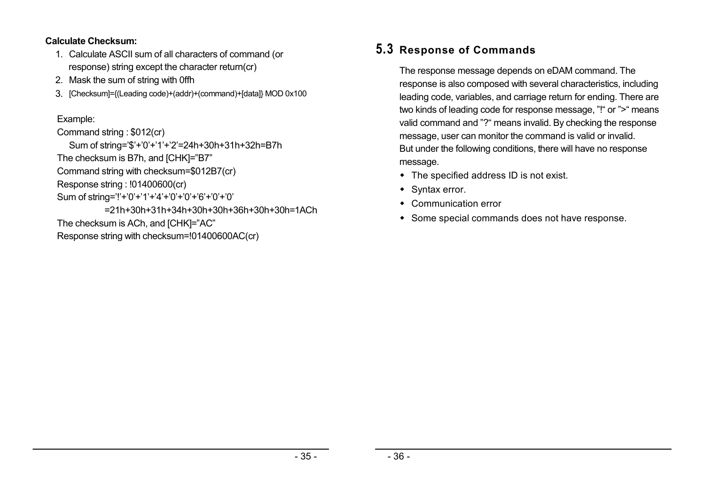#### **Calculate Checksum:**

- 1. Calculate ASCII sum of all characters of command (or response) string except the character return(cr)
- 2. Mask the sum of string with 0ffh
- 3. [Checksum]={(Leading code)+(addr)+(command)+[data]} MOD 0x100

### Example:

### Command string : \$012(cr)

Sum of string='\$'+'0'+'1'+'2'=24h+30h+31h+32h=B7h

The checksum is B7h, and [CHK]="B7"

Command string with checksum=\$012B7(cr)

Response string : !01400600(cr)

Sum of string='!'+'0'+'1'+'4'+'0'+'0'+'6'+'0'+'0'

=21h+30h+31h+34h+30h+30h+36h+30h+30h=1ACh The checksum is ACh, and [CHK]="AC" Response string with checksum=!01400600AC(cr)

# **5.3 Response of Commands**

The response message depends on eDAM command. The response is also composed with several characteristics, including leading code, variables, and carriage return for ending. There are two kinds of leading code for response message, "!" or ">" means valid command and "?" means invalid. By checking the response message, user can monitor the command is valid or invalid. But under the following conditions, there will have no response message.

- The specified address ID is not exist.
- Syntax error.
- Communication error
- Some special commands does not have response.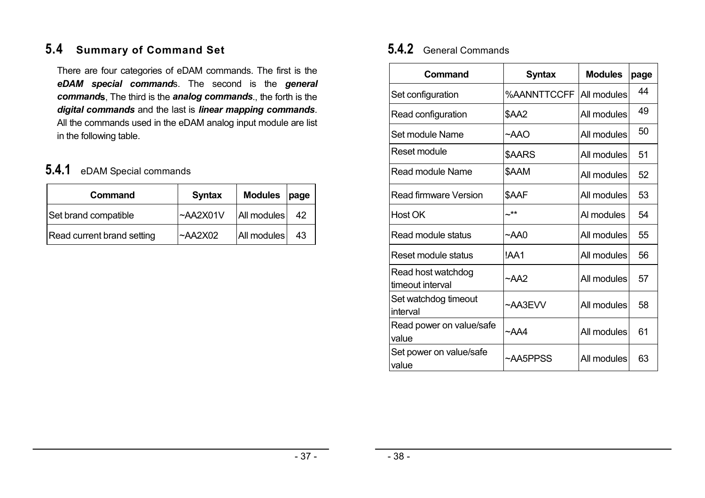# **5.4 Summary of Command Set**

There are four categories of eDAM commands. The first is the *eDAM special command*s. The second is the *general command***s**, The third is the *analog commands*., the forth is the *digital commands* and the last is *linear mapping commands*. All the commands used in the eDAM analog input module are list in the following table.

# **5.4.1** eDAM Special commands

| Command                    | <b>Syntax</b>  | <b>Modules</b> | page |
|----------------------------|----------------|----------------|------|
| Set brand compatible       | ~AA2X01V       | All modules    | 42   |
| Read current brand setting | $~\sim$ AA2X02 | All modules    | 43   |

# **5.4.2** General Commands

| Command                                | <b>Syntax</b>  | <b>Modules</b> | page |
|----------------------------------------|----------------|----------------|------|
| Set configuration                      | %AANNTTCCFF    | All modules    | 44   |
| Read configuration                     | <b>\$AA2</b>   | All modules    | 49   |
| Set module Name                        | ~AAO           | All modules    | 50   |
| Reset module                           | \$AARS         | All modules    | 51   |
| Read module Name                       | \$AAM          | All modules    | 52   |
| <b>Read firmware Version</b>           | \$AAF          | All modules    | 53   |
| Host OK                                | ~**            | Al modules     | 54   |
| Read module status                     | ~AA0           | All modules    | 55   |
| Reset module status                    | !AA1           | All modules    | 56   |
| Read host watchdog<br>timeout interval | $\sim$ AA2     | All modules    | 57   |
| Set watchdog timeout<br>interval       | $~\sim$ AA3EVV | All modules    | 58   |
| Read power on value/safe<br>value      | $~\sim$ AA4    | All modules    | 61   |
| Set power on value/safe<br>value       | ~AA5PPSS       | All modules    | 63   |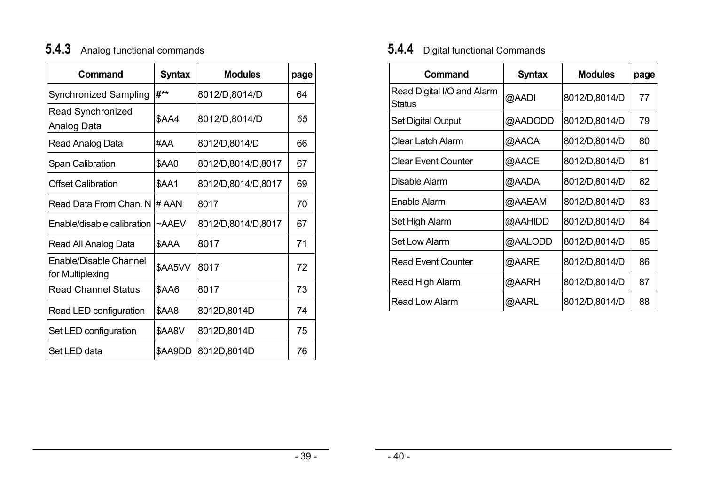# **5.4.3** Analog functional commands

| Command                                    | <b>Syntax</b> | <b>Modules</b>     | page |
|--------------------------------------------|---------------|--------------------|------|
| <b>Synchronized Sampling</b>               | #**           | 8012/D,8014/D      | 64   |
| <b>Read Synchronized</b><br>Analog Data    | <b>\$AA4</b>  | 8012/D,8014/D      | 65   |
| Read Analog Data                           | #AA           | 8012/D,8014/D      | 66   |
| Span Calibration                           | \$AA0         | 8012/D,8014/D,8017 | 67   |
| <b>Offset Calibration</b>                  | \$AA1         | 8012/D,8014/D,8017 | 69   |
| Read Data From Chan. N                     | # AAN         | 8017               | 70   |
| Enable/disable calibration                 | $~\sim$ AAEV  | 8012/D,8014/D,8017 | 67   |
| Read All Analog Data                       | \$AAA         | 8017               | 71   |
| Enable/Disable Channel<br>for Multiplexing | \$AA5VV       | 8017               | 72   |
| <b>Read Channel Status</b>                 | \$AA6         | 8017               | 73   |
| Read LED configuration                     | \$AA8         | 8012D,8014D        | 74   |
| Set LED configuration                      | \$AA8V        | 8012D,8014D        | 75   |
| Set LED data                               | \$AA9DD       | 8012D,8014D        | 76   |

# **5.4.4** Digital functional Commands

| Command                              | <b>Syntax</b> | <b>Modules</b> | page |
|--------------------------------------|---------------|----------------|------|
| Read Digital I/O and Alarm<br>Status | @AADI         | 8012/D,8014/D  | 77   |
| <b>Set Digital Output</b>            | @AADODD       | 8012/D,8014/D  | 79   |
| Clear Latch Alarm                    | @AACA         | 8012/D,8014/D  | 80   |
| <b>Clear Event Counter</b>           | @AACE         | 8012/D,8014/D  | 81   |
| Disable Alarm                        | @AADA         | 8012/D,8014/D  | 82   |
| Enable Alarm                         | @AAEAM        | 8012/D,8014/D  | 83   |
| Set High Alarm                       | @AAHIDD       | 8012/D,8014/D  | 84   |
| <b>Set Low Alarm</b>                 | @AALODD       | 8012/D,8014/D  | 85   |
| <b>Read Event Counter</b>            | @AARE         | 8012/D,8014/D  | 86   |
| Read High Alarm                      | @AARH         | 8012/D,8014/D  | 87   |
| <b>Read Low Alarm</b>                | @AARL         | 8012/D,8014/D  | 88   |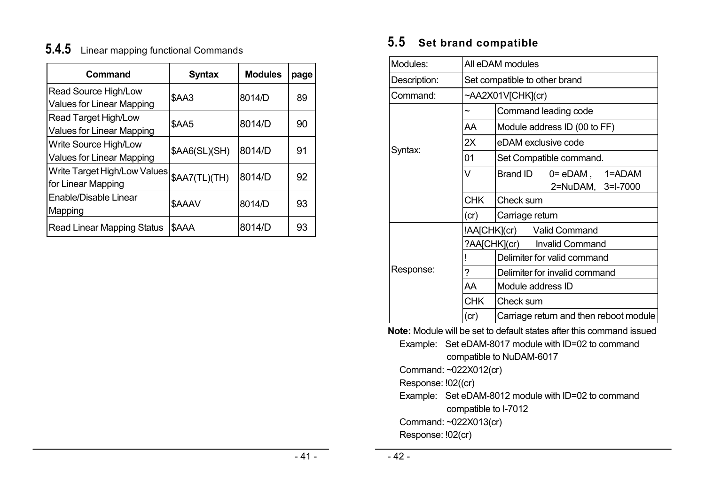# **5.4.5** Linear mapping functional Commands

| Command                                                         | Syntax        | <b>Modules</b> | page |
|-----------------------------------------------------------------|---------------|----------------|------|
| Read Source High/Low<br><b>Values for Linear Mapping</b>        | <b>\$AA3</b>  | 8014/D         | 89   |
| <b>Read Target High/Low</b><br><b>Values for Linear Mapping</b> | \$AA5         | 8014/D         | 90   |
| Write Source High/Low<br><b>Values for Linear Mapping</b>       | \$AA6(SL)(SH) | 8014/D         | 91   |
| Write Target High/Low Values<br>for Linear Mapping              | \$AA7(TL)(TH) | 8014/D         | 92   |
| Enable/Disable Linear<br>Mapping                                | \$AAAV        | 8014/D         | 93   |
| <b>Read Linear Mapping Status</b>                               | \$AAA         | 8014/D         | 93   |

# **5.5 Set brand compatible**

| Modules:     | All eDAM modules              |                                        |                                              |  |  |
|--------------|-------------------------------|----------------------------------------|----------------------------------------------|--|--|
| Description: | Set compatible to other brand |                                        |                                              |  |  |
| Command:     |                               | ~AA2X01V[CHK](cr)                      |                                              |  |  |
|              | $\tilde{\phantom{a}}$         |                                        | Command leading code                         |  |  |
|              | AA                            |                                        | Module address ID (00 to FF)                 |  |  |
|              | 2X                            |                                        | eDAM exclusive code                          |  |  |
| Syntax:      | 01                            | Set Compatible command.                |                                              |  |  |
|              | V                             | <b>Brand ID</b>                        | $0 = eDAM$ , $1 = ADAM$<br>2=NuDAM, 3=I-7000 |  |  |
|              | <b>CHK</b>                    | Check sum                              |                                              |  |  |
|              | (cr)                          | Carriage return                        |                                              |  |  |
|              | !AA[CHK](cr)                  |                                        | <b>Valid Command</b>                         |  |  |
|              |                               | ?AA[CHK](cr)                           | <b>Invalid Command</b>                       |  |  |
|              |                               |                                        | Delimiter for valid command                  |  |  |
| Response:    | ?                             |                                        | Delimiter for invalid command                |  |  |
|              | AA                            | Module address ID                      |                                              |  |  |
|              | <b>CHK</b>                    | Check sum                              |                                              |  |  |
|              | (cr)                          | Carriage return and then reboot module |                                              |  |  |

**Note:** Module will be set to default states after this command issued Example: Set eDAM-8017 module with ID=02 to command

.compatible to NuDAM-6017

Command: ~022X012(cr)

Response: !02((cr)

Example: Set eDAM-8012 module with ID=02 to command .compatible to I-7012

Command: ~022X013(cr)

Response: !02(cr)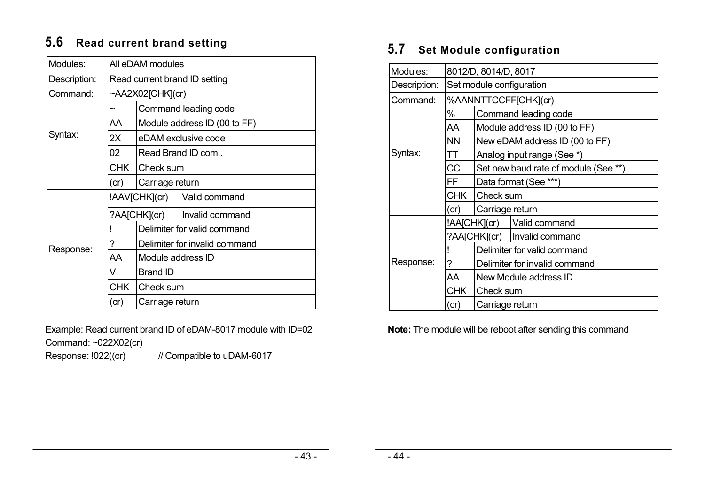# **5.6 Read current brand setting**

| Modules:     | All eDAM modules              |                             |                               |  |  |
|--------------|-------------------------------|-----------------------------|-------------------------------|--|--|
| Description: | Read current brand ID setting |                             |                               |  |  |
| Command:     |                               | ~AA2X02[CHK](cr)            |                               |  |  |
|              | ~                             | Command leading code        |                               |  |  |
|              | AA                            |                             | Module address ID (00 to FF)  |  |  |
| Syntax:      | 2X                            |                             | eDAM exclusive code           |  |  |
|              | 02                            | Read Brand ID com           |                               |  |  |
|              | CHK I                         | Check sum                   |                               |  |  |
|              | (cr)                          | Carriage return             |                               |  |  |
|              |                               | !AAV[CHK](cr)               | Valid command                 |  |  |
|              |                               | ?AA[CHK](cr)                | Invalid command               |  |  |
|              |                               | Delimiter for valid command |                               |  |  |
| Response:    | ?                             |                             | Delimiter for invalid command |  |  |
|              | AA                            | Module address ID           |                               |  |  |
|              | v                             | <b>Brand ID</b>             |                               |  |  |
|              | CHK I                         | Check sum                   |                               |  |  |
|              | (cr)                          | Carriage return             |                               |  |  |

Example: Read current brand ID of eDAM-8017 module with ID=02 Command: ~022X02(cr)

Response: !022((cr) // Compatible to uDAM-6017

# **5.7 Set Module configuration**

| Modules:     | 8012/D, 8014/D, 8017     |                                      |                                |  |
|--------------|--------------------------|--------------------------------------|--------------------------------|--|
| Description: | Set module configuration |                                      |                                |  |
| Command:     |                          |                                      | %AANNTTCCFF[CHK](cr)           |  |
|              | %                        |                                      | Command leading code           |  |
|              | AA                       |                                      | Module address ID (00 to FF)   |  |
|              | <b>NN</b>                |                                      | New eDAM address ID (00 to FF) |  |
| Syntax:      | TT                       | Analog input range (See *)           |                                |  |
|              | CC                       | Set new baud rate of module (See **) |                                |  |
|              | FF                       | Data format (See ***)                |                                |  |
|              | <b>CHK</b>               | Check sum                            |                                |  |
|              | (cr)                     | Carriage return                      |                                |  |
|              |                          | !AA[CHK](cr)                         | Valid command                  |  |
|              |                          |                                      | ?AA[CHK](cr)   Invalid command |  |
|              |                          |                                      | Delimiter for valid command    |  |
| Response:    | ?                        | Delimiter for invalid command        |                                |  |
|              | AA                       | New Module address ID                |                                |  |
|              | <b>CHK</b>               | <b>ICheck sum</b>                    |                                |  |
|              | (cr)                     | Carriage return                      |                                |  |

**Note:** The module will be reboot after sending this command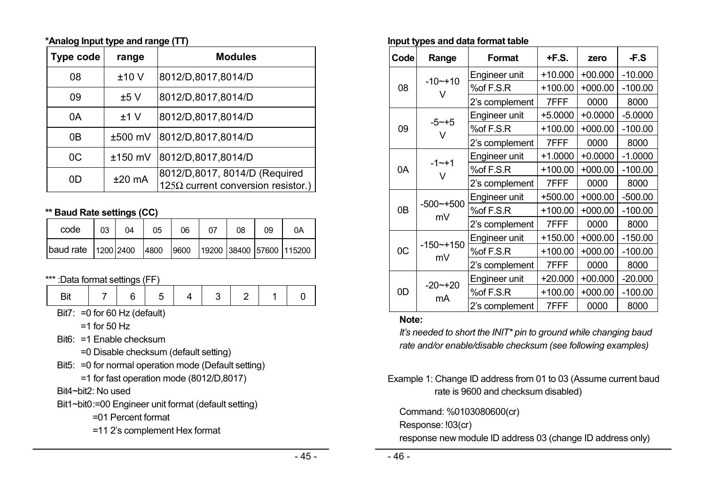#### **\*Analog Input type and range (TT)**

| <b>Type code</b> | range     | <b>Modules</b>                                                             |
|------------------|-----------|----------------------------------------------------------------------------|
| 08               | ±10V      | 8012/D,8017,8014/D                                                         |
| 09               | ±5V       | 8012/D,8017,8014/D                                                         |
| 0A               | ±1V       | 8012/D,8017,8014/D                                                         |
| 0B               | ±500 mV   | 8012/D,8017,8014/D                                                         |
| 0C               | $±150$ mV | 8012/D,8017,8014/D                                                         |
| OD               | $±20$ mA  | 8012/D,8017, 8014/D (Required<br>$125\Omega$ current conversion resistor.) |

### **\*\* Baud Rate settings (CC)**

| code                                                                   | 03 | 04 | 05 | 06 | 07 | 08 | 09 | 0A |
|------------------------------------------------------------------------|----|----|----|----|----|----|----|----|
| baud rate   1200   2400   4800   9600   19200   38400   57600   115200 |    |    |    |    |    |    |    |    |

### \*\*\* :Data format settings (FF)

| .<br>-- |  |  |  |  |
|---------|--|--|--|--|
|         |  |  |  |  |

Bit7: =0 for 60 Hz (default)

 $=1$  for 50 Hz

Bit6: =1 Enable checksum

=0 Disable checksum (default setting)

- Bit5: =0 for normal operation mode (Default setting)
	- =1 for fast operation mode (8012/D,8017)
- Bit4~bit2: No used
- Bit1~bit0 :=00 Engineer unit format (default setting)
	- =01 Percent format
	- =11 2's complement Hex format

#### **Input types and data format table**

|                | יין ני              |                |           |           |           |
|----------------|---------------------|----------------|-----------|-----------|-----------|
| Code           | Range               | <b>Format</b>  | +F.S.     | zero      | -F.S      |
|                |                     | Engineer unit  | $+10.000$ | $+00.000$ | $-10.000$ |
| 08             | $-10 - +10$         | %of F.S.R      | $+100.00$ | $+000.00$ | $-100.00$ |
|                |                     | 2's complement | 7FFF      | 0000      | 8000      |
|                |                     | Engineer unit  | $+5.0000$ | $+0.0000$ | $-5.0000$ |
| 09             | $-5 - +5$<br>$\vee$ | %of F.S.R      | $+100.00$ | $+000.00$ | $-100.00$ |
|                |                     | 2's complement | 7FFF      | 0000      | 8000      |
|                |                     | Engineer unit  | $+1.0000$ | $+0.0000$ | $-1.0000$ |
| 0A             | $-1 - + 1$<br>V     | %of F.S.R      | $+100.00$ | $+000.00$ | $-100.00$ |
|                |                     | 2's complement | 7FFF      | 0000      | 8000      |
|                |                     | Engineer unit  | $+500.00$ | $+000.00$ | $-500.00$ |
| 0 <sub>B</sub> | $-500$ ~+500        | %of F.S.R      | $+100.00$ | $+000.00$ | $-100.00$ |
|                | mV                  | 2's complement | 7FFF      | 0000      | 8000      |
|                |                     | Engineer unit  | $+150.00$ | $+000.00$ | $-150.00$ |
| OC             | $-150$ $-+150$      | %of F.S.R      | $+100.00$ | $+000.00$ | $-100.00$ |
| mV             | 2's complement      | 7FFF           | 0000      | 8000      |           |
|                |                     | Engineer unit  | $+20.000$ | $+00.000$ | $-20.000$ |
| 0D             | $-20$ ~ $+20$       | %of F.S.R      | $+100.00$ | $+000.00$ | $-100.00$ |
|                | mA                  | 2's complement | 7FFF      | 0000      | 8000      |

#### **Note:**

*It's needed to short the INIT\* pin to ground while changing baud rate and/or enable/disable checksum (see following examples)* 

Example 1: Change ID address from 01 to 03 (Assume current baud rate is 9600 and checksum disabled)

Command: %0103080600(cr)

Response: !03(cr)

response new module ID address 03 (change ID address only)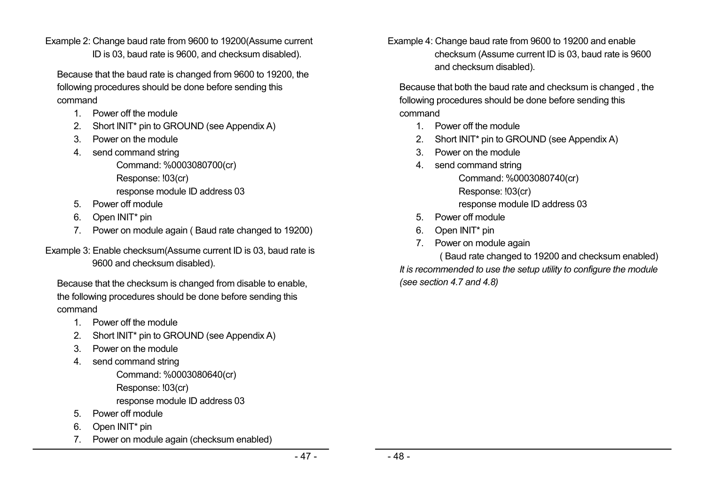Example 2: Change baud rate from 9600 to 19200(Assume current ID is 03, baud rate is 9600, and checksum disabled).

Because that the baud rate is changed from 9600 to 19200, the following procedures should be done before sending this command

- 1. Power off the module
- 2. Short INIT<sup>\*</sup> pin to GROUND (see Appendix A)
- 3. Power on the module
- 4. send command string

Command: %0003080700(cr) Response: !03(cr) response module ID address 03

- 5. Power off module
- 6. Open INIT\* pin
- 7. Power on module again ( Baud rate changed to 19200)

Example 3: Enable checksum(Assume current ID is 03, baud rate is 9600 and checksum disabled).

Because that the checksum is changed from disable to enable, the following procedures should be done before sending this command

- 1. Power off the module
- 2. Short INIT\* pin to GROUND (see Appendix A)
- 3. Power on the module
- 4. send command string
	- Command: %0003080640(cr) Response: !03(cr)
	- response module ID address 03
- 5. Power off module
- 6. Open INIT\* pin
- 7. Power on module again (checksum enabled)

Example 4: Change baud rate from 9600 to 19200 and enable checksum (Assume current ID is 03, baud rate is 9600 and checksum disabled).

Because that both the baud rate and checksum is changed , the following procedures should be done before sending this command

- 1. Power off the module
- 2. Short INIT\* pin to GROUND (see Appendix A)
- 3. Power on the module
- 4. send command string

Command: %0003080740(cr) Response: !03(cr) response module ID address 03

- 5. Power off module
- 6. Open INIT\* pin
- 7. Power on module again

( Baud rate changed to 19200 and checksum enabled) *It is recommended to use the setup utility to configure the module (see section 4.7 and 4.8)*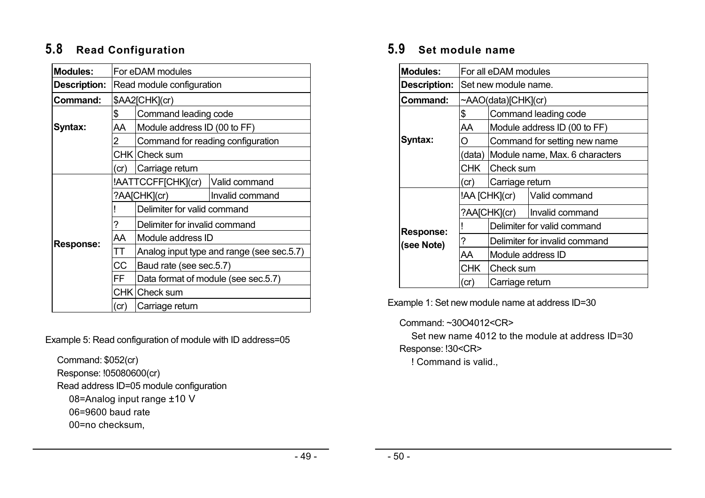# **5.8 Read Configuration**

| <b>Modules:</b>     | For eDAM modules |                                     |                                           |  |  |  |
|---------------------|------------------|-------------------------------------|-------------------------------------------|--|--|--|
| <b>Description:</b> |                  | Read module configuration           |                                           |  |  |  |
| Command:            | \$AA2[CHK](cr)   |                                     |                                           |  |  |  |
|                     | \$               | Command leading code                |                                           |  |  |  |
| Syntax:             | AA               | Module address ID (00 to FF)        |                                           |  |  |  |
|                     | $\overline{2}$   | Command for reading configuration   |                                           |  |  |  |
|                     |                  | CHK   Check sum                     |                                           |  |  |  |
|                     | (cr)             | Carriage return                     |                                           |  |  |  |
|                     |                  | !AATTCCFF[CHK](cr)<br>Valid command |                                           |  |  |  |
|                     |                  | ?AA[CHK](cr)                        | Invalid command                           |  |  |  |
|                     |                  | Delimiter for valid command         |                                           |  |  |  |
|                     | ?                | Delimiter for invalid command       |                                           |  |  |  |
| <b>Response:</b>    | AA               | Module address ID                   |                                           |  |  |  |
|                     | TΤ               |                                     | Analog input type and range (see sec.5.7) |  |  |  |
|                     | CC.              | Baud rate (see sec.5.7)             |                                           |  |  |  |
|                     | FF               | Data format of module (see sec.5.7) |                                           |  |  |  |
|                     |                  |                                     |                                           |  |  |  |
|                     | (cr)             | Carriage return                     |                                           |  |  |  |

Example 5: Read configuration of module with ID address=05

Command: \$052(cr) Response: !05080600(cr) Read address ID=05 module configuration 08=Analog input range ±10 V 06=9600 baud rate 00=no checksum,

### **5.9 Set module name**

| <b>Modules:</b>     | For all eDAM modules    |                                |                               |  |  |
|---------------------|-------------------------|--------------------------------|-------------------------------|--|--|
| <b>Description:</b> |                         | Set new module name.           |                               |  |  |
| Command:            |                         | ~AAO(data)[CHK](cr)            |                               |  |  |
|                     | \$                      | Command leading code           |                               |  |  |
|                     | AA                      |                                | Module address ID (00 to FF)  |  |  |
| Syntax:             | O                       |                                | Command for setting new name  |  |  |
|                     | (data)                  | Module name, Max. 6 characters |                               |  |  |
|                     | <b>CHK</b><br>Check sum |                                |                               |  |  |
|                     | (cr)                    | Carriage return                |                               |  |  |
|                     |                         | !AA [CHK](cr)                  | Valid command                 |  |  |
|                     |                         | ?AA[CHK](cr)                   | Invalid command               |  |  |
| <b>Response:</b>    |                         |                                | Delimiter for valid command   |  |  |
| (see Note)          | 7                       |                                | Delimiter for invalid command |  |  |
|                     | AA                      |                                | Module address ID             |  |  |
|                     | CHK l                   | Check sum                      |                               |  |  |
|                     | (cr                     | Carriage return                |                               |  |  |

Example 1: Set new module name at address ID=30

#### Command: ~30O4012<CR>

Set new name 4012 to the module at address ID=30

Response: !30<CR> ! Command is valid.,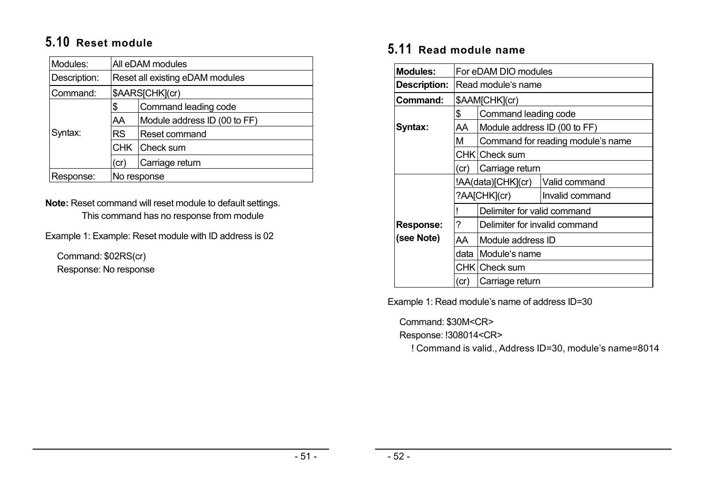# **5.10 Reset module**

| Modules:     | All eDAM modules                |                              |  |
|--------------|---------------------------------|------------------------------|--|
| Description: | Reset all existing eDAM modules |                              |  |
| Command:     | \$AARS[CHK](cr)                 |                              |  |
|              | \$                              | Command leading code         |  |
|              | AA                              | Module address ID (00 to FF) |  |
| Syntax:      | <b>RS</b><br>Reset command      |                              |  |
|              |                                 | CHK Check sum                |  |
|              | (cr)                            | Carriage return              |  |
| Response:    | No response                     |                              |  |

**Note:** Reset command will reset module to default settings. This command has no response from module

Example 1: Example: Reset module with ID address is 02

Command: \$02RS(cr) Response: No response

### **5.11 Read module name**

| <b>Modules:</b>     |               | For eDAM DIO modules              |                 |  |  |
|---------------------|---------------|-----------------------------------|-----------------|--|--|
| <b>Description:</b> |               | Read module's name                |                 |  |  |
| Command:            |               | \$AAM[CHK](cr)                    |                 |  |  |
|                     | \$            | Command leading code              |                 |  |  |
| Syntax:             | AA            | Module address ID (00 to FF)      |                 |  |  |
|                     | м             | Command for reading module's name |                 |  |  |
|                     |               | CHK Check sum                     |                 |  |  |
|                     | (cr)          | Carriage return                   |                 |  |  |
|                     |               | !AA(data)[CHK](cr)                | Valid command   |  |  |
|                     |               | ?AA[CHK](cr)                      | Invalid command |  |  |
|                     |               | Delimiter for valid command       |                 |  |  |
| <b>Response:</b>    | ?             | Delimiter for invalid command     |                 |  |  |
| (see Note)          | AA            | Module address ID                 |                 |  |  |
|                     | data          | Module's name                     |                 |  |  |
|                     | CHK Check sum |                                   |                 |  |  |
|                     | (cr)          | Carriage return                   |                 |  |  |

Example 1: Read module's name of address ID=30

Command: \$30M<CR>

Response: !308014<CR>

! Command is valid., Address ID=30, module's name=8014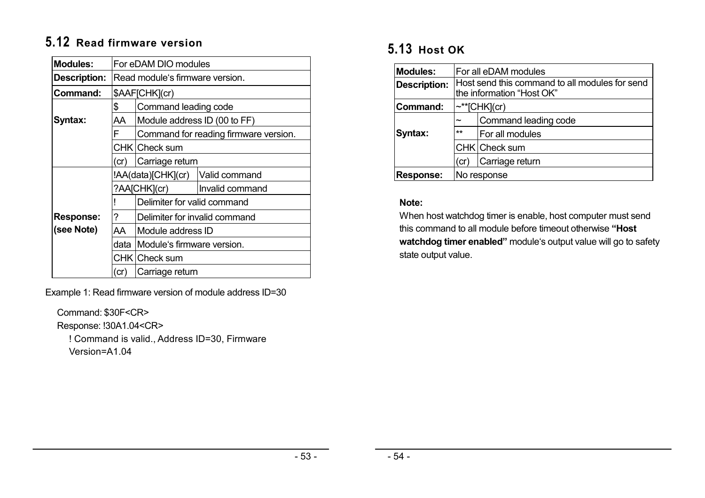# **5.12 Read firmware version**

| <b>Modules:</b>     | For eDAM DIO modules |                                     |                                       |  |
|---------------------|----------------------|-------------------------------------|---------------------------------------|--|
| <b>Description:</b> |                      | Read module's firmware version.     |                                       |  |
| Command:            |                      | \$AAF[CHK](cr)                      |                                       |  |
|                     | \$                   | Command leading code                |                                       |  |
| Syntax:             | AA                   | Module address ID (00 to FF)        |                                       |  |
|                     | F                    |                                     | Command for reading firmware version. |  |
|                     |                      | CHK Check sum                       |                                       |  |
|                     | (cr)                 | Carriage return                     |                                       |  |
|                     |                      | !AA(data)[CHK](cr)<br>Valid command |                                       |  |
|                     |                      | ?AA[CHK](cr)                        | Invalid command                       |  |
|                     |                      | Delimiter for valid command         |                                       |  |
| <b>Response:</b>    | 7                    | Delimiter for invalid command       |                                       |  |
| (see Note)          | AA.                  | Module address ID                   |                                       |  |
|                     | data                 | Module's firmware version.          |                                       |  |
|                     | CHK Check sum        |                                     |                                       |  |
|                     | (cr)                 | Carriage return                     |                                       |  |

Example 1: Read firmware version of module address ID=30

Command: \$30F<CR>

Response: !30A1.04<CR>

! Command is valid., Address ID=30, Firmware Version=A1.04

# **5.13 Host OK**

| Modules:            | For all eDAM modules    |                                                                             |  |  |
|---------------------|-------------------------|-----------------------------------------------------------------------------|--|--|
| <b>Description:</b> |                         | Host send this command to all modules for send<br>the information "Host OK" |  |  |
| Command:            |                         |                                                                             |  |  |
|                     |                         | $\sim$ **[CHK](cr)                                                          |  |  |
|                     | $\tilde{\phantom{a}}$   | Command leading code                                                        |  |  |
| Syntax:             | $**$<br>For all modules |                                                                             |  |  |
|                     | CHK Check sum           |                                                                             |  |  |
|                     | (cr)                    | Carriage return                                                             |  |  |
| <b>Response:</b>    | No response             |                                                                             |  |  |

### **Note:**

When host watchdog timer is enable, host computer must send this command to all module before timeout otherwise **"Host watchdog timer enabled"** module's output value will go to safety state output value.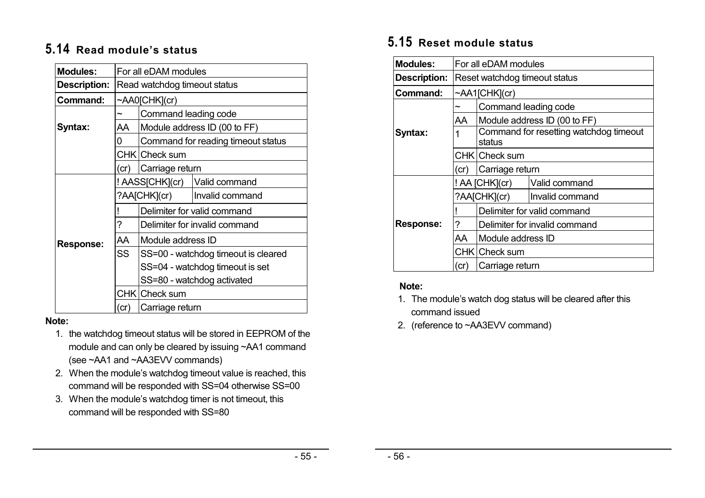## **5.14 Read module's status**

| <b>Modules:</b>     | For all eDAM modules         |                             |                                     |
|---------------------|------------------------------|-----------------------------|-------------------------------------|
| <b>Description:</b> | Read watchdog timeout status |                             |                                     |
| Command:            |                              | $\sim$ AA0[CHK](cr)         |                                     |
|                     |                              | Command leading code        |                                     |
| Syntax:             | AA                           |                             | Module address ID (00 to FF)        |
|                     | 0                            |                             | Command for reading timeout status  |
|                     |                              | CHK Check sum               |                                     |
|                     | (cr)                         | Carriage return             |                                     |
|                     |                              |                             | ! AASS[CHK](cr)   Valid command     |
|                     | ?AA[CHK](cr)                 |                             | Invalid command                     |
|                     |                              | Delimiter for valid command |                                     |
|                     | ?                            |                             | Delimiter for invalid command       |
| <b>Response:</b>    | AA                           | Module address ID           |                                     |
|                     | <b>SS</b>                    |                             | SS=00 - watchdog timeout is cleared |
|                     |                              |                             | SS=04 - watchdog timeout is set     |
|                     |                              |                             | SS=80 - watchdog activated          |
|                     |                              | CHK Check sum               |                                     |
|                     | (cr)                         | Carriage return             |                                     |

#### **Note:**

- 1. the watchdog timeout status will be stored in EEPROM of the module and can only be cleared by issuing ~AA1 command (see ~AA1 and ~AA3EVV commands)
- 2. When the module's watchdog timeout value is reached, this command will be responded with SS=04 otherwise SS=00
- 3. When the module's watchdog timer is not timeout, this command will be responded with SS=80

# **5.15 Reset module status**

| <b>Modules:</b>     | For all eDAM modules                     |                                                  |                               |
|---------------------|------------------------------------------|--------------------------------------------------|-------------------------------|
| <b>Description:</b> | Reset watchdog timeout status            |                                                  |                               |
| Command:            |                                          | ~AA1[CHK](cr)                                    |                               |
|                     |                                          | Command leading code                             |                               |
|                     | AA                                       |                                                  | Module address ID (00 to FF)  |
| Syntax:             |                                          | Command for resetting watchdog timeout<br>status |                               |
|                     | CHK Check sum                            |                                                  |                               |
|                     | (cr)                                     | Carriage return                                  |                               |
|                     | ! AA [CHK](cr)<br>Valid command          |                                                  |                               |
|                     |                                          | ?AA[CHK](cr)                                     | Invalid command               |
|                     |                                          |                                                  | Delimiter for valid command   |
| <b>Response:</b>    | ?                                        |                                                  | Delimiter for invalid command |
|                     | AA<br>Module address ID<br>CHK Check sum |                                                  |                               |
|                     |                                          |                                                  |                               |
|                     | (cr)                                     | Carriage return                                  |                               |

### **Note:**

- 1. The module's watch dog status will be cleared after this command issued
- 2. (reference to ~AA3EVV command)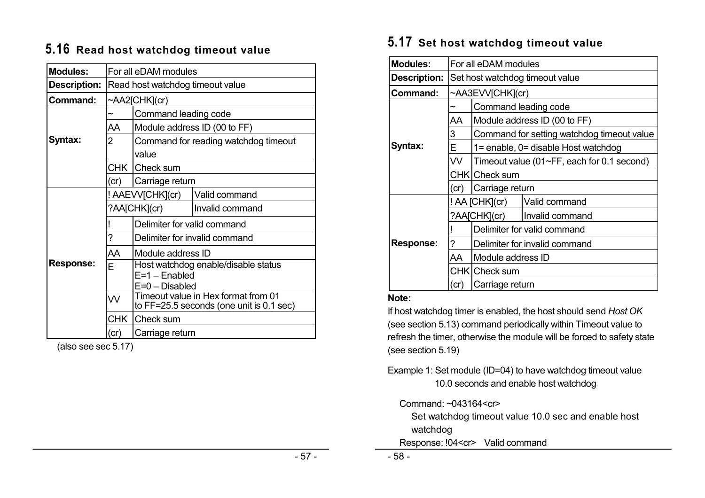### **5.16 Read host watchdog timeout value**

| <b>Modules:</b>     | For all eDAM modules             |                                                                                     |                                      |  |
|---------------------|----------------------------------|-------------------------------------------------------------------------------------|--------------------------------------|--|
| <b>Description:</b> | Read host watchdog timeout value |                                                                                     |                                      |  |
| Command:            |                                  | $\sim$ AA2[CHK](cr)                                                                 |                                      |  |
|                     |                                  | Command leading code                                                                |                                      |  |
|                     | AA                               |                                                                                     | Module address ID (00 to FF)         |  |
| Syntax:             | $\overline{2}$                   | value                                                                               | Command for reading watchdog timeout |  |
|                     |                                  | CHK Check sum                                                                       |                                      |  |
|                     | (cr)                             | Carriage return                                                                     |                                      |  |
|                     |                                  | ! AAEVV[CHK](cr)                                                                    | Valid command                        |  |
|                     | ?AA[CHK](cr)                     |                                                                                     | Invalid command                      |  |
|                     |                                  | Delimiter for valid command                                                         |                                      |  |
|                     | ?                                | Delimiter for invalid command                                                       |                                      |  |
|                     | AA                               | Module address ID                                                                   |                                      |  |
| <b>Response:</b>    | F                                | $E=1 -$ Enabled<br>$E=0$ – Disabled                                                 | Host watchdog enable/disable status  |  |
|                     | W                                | Timeout value in Hex format from 01<br>to $FF=25.5$ seconds (one unit is $0.1$ sec) |                                      |  |
|                     | <b>CHK</b><br>Check sum          |                                                                                     |                                      |  |
|                     | (cr)                             | Carriage return                                                                     |                                      |  |

(also see sec 5.17)

# **5.17 Set host watchdog timeout value**

| <b>Modules:</b>     | For all eDAM modules            |                                            |                                            |  |
|---------------------|---------------------------------|--------------------------------------------|--------------------------------------------|--|
| <b>Description:</b> | Set host watchdog timeout value |                                            |                                            |  |
| Command:            |                                 | ~AA3EVV[CHK](cr)                           |                                            |  |
|                     | $\tilde{}$                      | Command leading code                       |                                            |  |
|                     | AA                              |                                            | Module address ID (00 to FF)               |  |
|                     | 3                               |                                            | Command for setting watchdog timeout value |  |
| Syntax:             | Е                               |                                            | 1= enable, 0= disable Host watchdog        |  |
|                     | VV.                             | Timeout value (01~FF, each for 0.1 second) |                                            |  |
|                     |                                 | CHK Check sum                              |                                            |  |
|                     | (cr)                            | Carriage return                            |                                            |  |
|                     |                                 | ! AA [CHK](cr)                             | Valid command                              |  |
|                     |                                 | ?AA[CHK](cr)                               | Invalid command                            |  |
|                     |                                 | Delimiter for valid command                |                                            |  |
| <b>Response:</b>    | ?                               | Delimiter for invalid command              |                                            |  |
|                     | AA                              | Module address ID                          |                                            |  |
|                     |                                 | CHK Check sum                              |                                            |  |
|                     | (cr)                            | Carriage return                            |                                            |  |

#### **Note:**

If host watchdog timer is enabled, the host should send *Host OK* (see section 5.13) command periodically within Timeout value to refresh the timer, otherwise the module will be forced to safety state (see section 5.19)

Example 1: Set module (ID=04) to have watchdog timeout value 10.0 seconds and enable host watchdog

Command: ~043164<cr>

Set watchdog timeout value 10.0 sec and enable host watchdog

Response: !04<cr> Valid command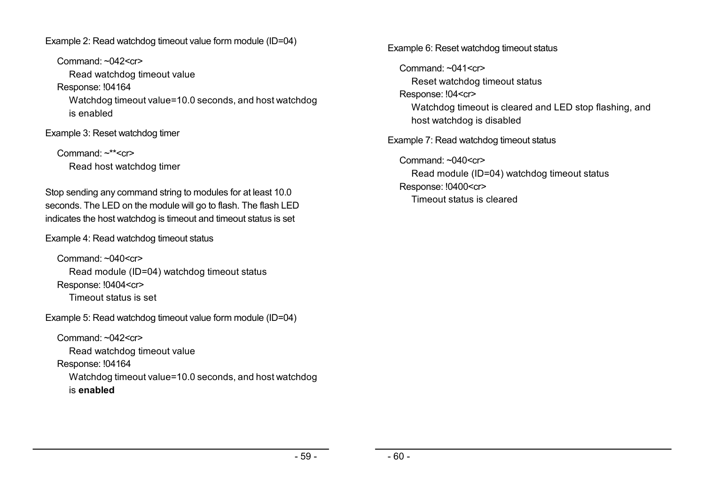Example 2: Read watchdog timeout value form module (ID=04)

Command: ~042<cr> Read watchdog timeout value Response: !04164 Watchdog timeout value=10.0 seconds, and host watchdog is enabled

Example 3: Reset watchdog timer

Command:  $\sim$ \*\* $\lt$ cr $>$ Read host watchdog timer

Stop sending any command string to modules for at least 10.0 seconds. The LED on the module will go to flash. The flash LED indicates the host watchdog is timeout and timeout status is set

Example 4: Read watchdog timeout status

Command:  $\sim 040 \leq$ cr> Read module (ID=04) watchdog timeout status Response: !0404<cr> Timeout status is set

Example 5: Read watchdog timeout value form module (ID=04)

Command: ~042<cr> Read watchdog timeout value Response: !04164 Watchdog timeout value=10.0 seconds, and host watchdog is **enabled**

Example 6: Reset watchdog timeout status

Command:  $\sim 041 \leq$ cr $>$ Reset watchdog timeout status Response: !04<cr> Watchdog timeout is cleared and LED stop flashing, and host watchdog is disabled Example 7: Read watchdog timeout status  $Commoned: ~040 < c$ r> Read module (ID=04) watchdog timeout status Response: !0400<cr> Timeout status is cleared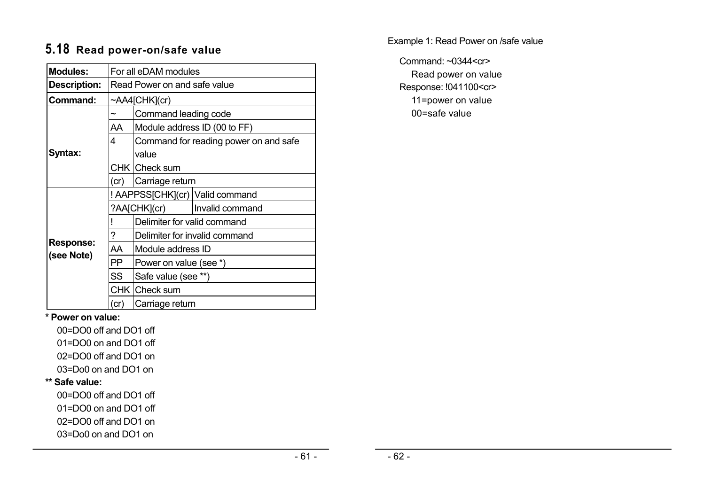# **5.18 Read power-on/safe value**

| <b>Modules:</b>                | For all eDAM modules                       |                                 |                                       |  |
|--------------------------------|--------------------------------------------|---------------------------------|---------------------------------------|--|
| <b>Description:</b>            | Read Power on and safe value               |                                 |                                       |  |
| Command:                       |                                            | ~AA4[CHK](cr)                   |                                       |  |
|                                | ~                                          | Command leading code            |                                       |  |
|                                | AA                                         |                                 | Module address ID (00 to FF)          |  |
|                                | 4                                          |                                 | Command for reading power on and safe |  |
| Syntax:                        |                                            | value                           |                                       |  |
|                                | CHK   Check sum<br>Carriage return<br>(cr) |                                 |                                       |  |
|                                |                                            |                                 |                                       |  |
|                                |                                            |                                 | ! AAPPSS[CHK](cr) Valid command       |  |
|                                |                                            | ?AA[CHK](cr)<br>Invalid command |                                       |  |
|                                |                                            | Delimiter for valid command     |                                       |  |
|                                | ?                                          |                                 | Delimiter for invalid command         |  |
| <b>Response:</b><br>(see Note) | AA                                         | Module address ID               |                                       |  |
|                                | PP                                         | Power on value (see *)          |                                       |  |
|                                | SS                                         | Safe value (see **)             |                                       |  |
|                                |                                            | CHK Check sum                   |                                       |  |
|                                | (cr)                                       | Carriage return                 |                                       |  |

Example 1: Read Power on /safe value

Command: ~0344<cr> Read power on value Response: !041100<cr> 11=power on value 00=safe value

**\* Power on value:** 

00=DO0 off and DO1 off

01=DO0 on and DO1 off

02=DO0 off and DO1 on

03=Do0 on and DO1 on

#### **\*\* Safe value:**

00=DO0 off and DO1 off

01=DO0 on and DO1 off

02=DO0 off and DO1 on

03=Do0 on and DO1 on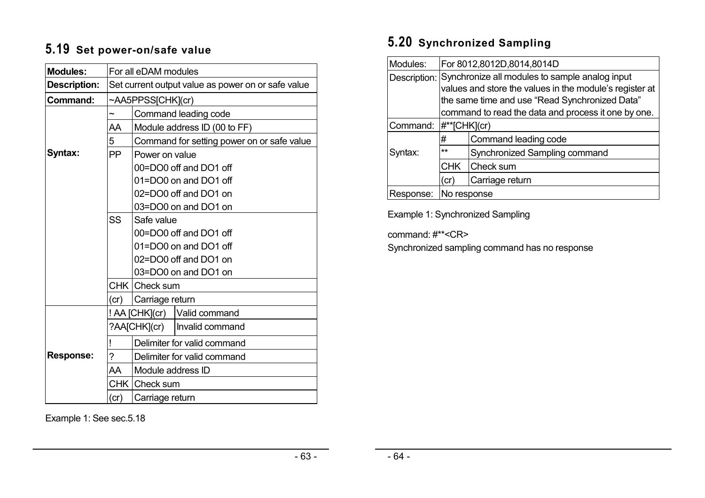# **5.19 Set power-on/safe value**

| <b>Modules:</b>     | For all eDAM modules             |                       |                                                    |  |  |
|---------------------|----------------------------------|-----------------------|----------------------------------------------------|--|--|
| <b>Description:</b> |                                  |                       | Set current output value as power on or safe value |  |  |
| Command:            | ~AA5PPSS[CHK](cr)                |                       |                                                    |  |  |
|                     | $\tilde{}$                       |                       | Command leading code                               |  |  |
|                     | AA                               |                       | Module address ID (00 to FF)                       |  |  |
|                     | 5                                |                       | Command for setting power on or safe value         |  |  |
| Syntax:             | <b>PP</b>                        | Power on value        |                                                    |  |  |
|                     |                                  |                       | 00=DO0 off and DO1 off                             |  |  |
|                     |                                  |                       | 01=DO0 on and DO1 off                              |  |  |
|                     |                                  |                       | 02=DO0 off and DO1 on                              |  |  |
|                     |                                  |                       | 03=DO0 on and DO1 on                               |  |  |
|                     | <b>SS</b>                        | Safe value            |                                                    |  |  |
|                     |                                  |                       | 00=DO0 off and DO1 off                             |  |  |
|                     |                                  | 01=DO0 on and DO1 off |                                                    |  |  |
|                     |                                  | 02=DO0 off and DO1 on |                                                    |  |  |
|                     |                                  |                       | 03=DO0 on and DO1 on                               |  |  |
|                     |                                  | CHK Check sum         |                                                    |  |  |
|                     | (cr)                             | Carriage return       |                                                    |  |  |
|                     |                                  |                       | ! AA [CHK](cr) Valid command                       |  |  |
|                     |                                  |                       | ?AA[CHK](cr)   Invalid command                     |  |  |
|                     | Ţ                                |                       | Delimiter for valid command                        |  |  |
| <b>Response:</b>    | ?<br>Delimiter for valid command |                       |                                                    |  |  |
|                     | AA                               | Module address ID     |                                                    |  |  |
|                     |                                  | CHK Check sum         |                                                    |  |  |
|                     | (cr)                             | Carriage return       |                                                    |  |  |

Example 1: See sec.5.18

# **5.20 Synchronized Sampling**

| Modules:  | For 8012,8012D,8014,8014D |                                                             |  |  |
|-----------|---------------------------|-------------------------------------------------------------|--|--|
|           |                           | Description: Synchronize all modules to sample analog input |  |  |
|           |                           | values and store the values in the module's register at     |  |  |
|           |                           | the same time and use "Read Synchronized Data"              |  |  |
|           |                           | command to read the data and process it one by one.         |  |  |
| Command:  |                           | $ #^{**}[CHK](cr)$                                          |  |  |
|           | #                         | Command leading code                                        |  |  |
| Syntax:   | $**$                      | Synchronized Sampling command                               |  |  |
|           | <b>CHK</b>                | Check sum                                                   |  |  |
|           | Carriage return<br>(cr)   |                                                             |  |  |
| Response: | No response               |                                                             |  |  |

Example 1: Synchronized Sampling

command: #\*\*<CR>

Synchronized sampling command has no response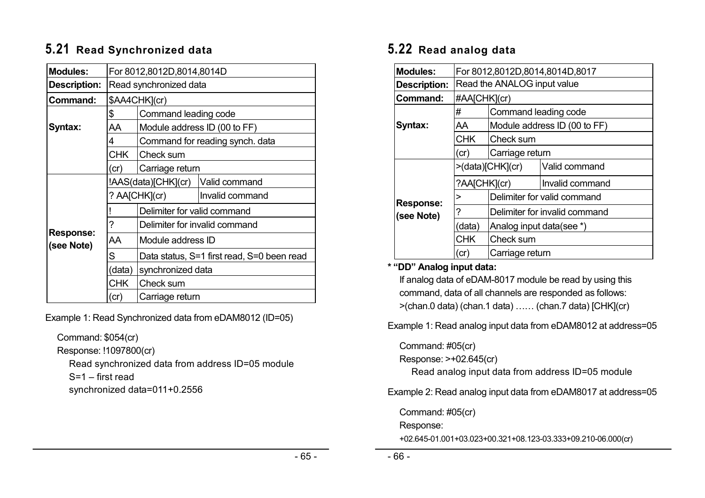# **5.21 Read Synchronized data**

| <b>Modules:</b>                |                        | For 8012,8012D,8014,8014D                  |                                 |  |  |
|--------------------------------|------------------------|--------------------------------------------|---------------------------------|--|--|
| <b>Description:</b>            | Read synchronized data |                                            |                                 |  |  |
| Command:                       |                        | \$AA4CHK](cr)                              |                                 |  |  |
|                                | \$                     | Command leading code                       |                                 |  |  |
| Syntax:                        | AA                     |                                            | Module address ID (00 to FF)    |  |  |
|                                | 4                      |                                            | Command for reading synch. data |  |  |
|                                | <b>CHK</b>             | Check sum                                  |                                 |  |  |
|                                | (cr)                   | Carriage return                            |                                 |  |  |
|                                |                        | !AAS(data)[CHK](cr)                        | Valid command                   |  |  |
|                                |                        | ? AA[CHK](cr)                              | Invalid command                 |  |  |
|                                |                        | Delimiter for valid command                |                                 |  |  |
|                                | ?                      | Delimiter for invalid command              |                                 |  |  |
| <b>Response:</b><br>(see Note) | AA                     | Module address ID                          |                                 |  |  |
|                                | S                      | Data status, S=1 first read, S=0 been read |                                 |  |  |
|                                | (data)                 | synchronized data                          |                                 |  |  |
|                                | <b>CHK</b>             | Check sum                                  |                                 |  |  |
|                                | (cr)                   | Carriage return                            |                                 |  |  |

Example 1: Read Synchronized data from eDAM8012 (ID=05)

Command: \$054(cr)

Response: !1097800(cr)

Read synchronized data from address ID=05 module S=1 – first read

synchronized data=011+0.2556

# **5.22 Read analog data**

| <b>Modules:</b>     | For 8012,8012D,8014,8014D,8017 |                             |                               |  |
|---------------------|--------------------------------|-----------------------------|-------------------------------|--|
| <b>Description:</b> | Read the ANALOG input value    |                             |                               |  |
| Command:            | #AA[CHK](cr)                   |                             |                               |  |
|                     | #                              | Command leading code        |                               |  |
| Syntax:             | AA                             |                             | Module address ID (00 to FF)  |  |
|                     | <b>CHK</b>                     | Check sum                   |                               |  |
|                     | (cr)                           | Carriage return             |                               |  |
|                     | >(data)[CHK](cr)               |                             | Valid command                 |  |
|                     | ?AA[CHK](cr)                   |                             | Invalid command               |  |
| <b>Response:</b>    | >                              | Delimiter for valid command |                               |  |
| (see Note)          | ?                              |                             | Delimiter for invalid command |  |
|                     | (data)                         | Analog input data(see *)    |                               |  |
|                     | <b>CHK</b>                     | Check sum                   |                               |  |
|                     | (cr)                           | Carriage return             |                               |  |

#### **\* "DD" Analog input data:**

If analog data of eDAM-8017 module be read by using this command, data of all channels are responded as follows: >(chan.0 data) (chan.1 data) …… (chan.7 data) [CHK](cr)

Example 1: Read analog input data from eDAM8012 at address=05

Command: #05(cr)

Response: >+02.645(cr)

Read analog input data from address ID=05 module

Example 2: Read analog input data from eDAM8017 at address=05

Command: #05(cr)

Response:

+02.645-01.001+03.023+00.321+08.123-03.333+09.210-06.000(cr)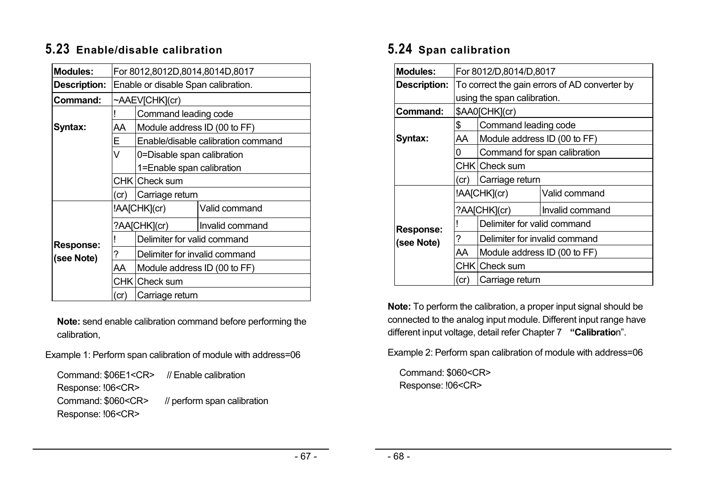# **5.23 Enable/disable calibration**

| <b>Modules:</b>  |                                    | For 8012,8012D,8014,8014D,8017      |                                    |  |  |
|------------------|------------------------------------|-------------------------------------|------------------------------------|--|--|
| Description:     |                                    | Enable or disable Span calibration. |                                    |  |  |
| Command:         |                                    | ~AAEV[CHK](cr)                      |                                    |  |  |
|                  |                                    | Command leading code                |                                    |  |  |
| Syntax:          | AA                                 | Module address ID (00 to FF)        |                                    |  |  |
|                  | Е                                  |                                     | Enable/disable calibration command |  |  |
|                  | V                                  | 0=Disable span calibration          |                                    |  |  |
|                  |                                    | 1=Enable span calibration           |                                    |  |  |
|                  |                                    | CHK   Check sum                     |                                    |  |  |
|                  | (cr)                               | Carriage return                     |                                    |  |  |
|                  |                                    | !AA[CHK](cr)                        | Valid command                      |  |  |
|                  |                                    | ?AA[CHK](cr)                        | Invalid command                    |  |  |
| <b>Response:</b> |                                    | Delimiter for valid command         |                                    |  |  |
| (see Note)       | Delimiter for invalid command<br>? |                                     |                                    |  |  |
|                  | AA                                 | Module address ID (00 to FF)        |                                    |  |  |
|                  |                                    | CHK Check sum                       |                                    |  |  |
|                  | (cr)                               | Carriage return                     |                                    |  |  |

**Note:** send enable calibration command before performing the calibration,

Example 1: Perform span calibration of module with address=06

| Command: \$06E1 <cr> // Enable calibration</cr> |                             |
|-------------------------------------------------|-----------------------------|
| Response: !06 <cr></cr>                         |                             |
| Command: \$060 <cr></cr>                        | // perform span calibration |
| Response: !06 <cr></cr>                         |                             |

# **5.24 Span calibration**

| Modules:            | For 8012/D,8014/D,8017                        |                               |                              |
|---------------------|-----------------------------------------------|-------------------------------|------------------------------|
| <b>Description:</b> | To correct the gain errors of AD converter by |                               |                              |
|                     |                                               | using the span calibration.   |                              |
| Command:            |                                               | \$AA0[CHK](cr)                |                              |
|                     | \$                                            | Command leading code          |                              |
| Syntax:             | AA                                            | Module address ID (00 to FF)  |                              |
|                     | 0                                             |                               | Command for span calibration |
|                     |                                               | CHK Check sum                 |                              |
|                     | (cr)                                          | Carriage return               |                              |
|                     |                                               | !AA[CHK](cr)                  | Valid command                |
|                     |                                               | ?AA[CHK](cr)                  | Invalid command              |
| <b>Response:</b>    |                                               | Delimiter for valid command   |                              |
| (see Note)          | ?                                             | Delimiter for invalid command |                              |
|                     | AA                                            | Module address ID (00 to FF)  |                              |
|                     |                                               | CHK   Check sum               |                              |
|                     | (cr)                                          | Carriage return               |                              |

**Note:** To perform the calibration, a proper input signal should be connected to the analog input module. Different input range have different input voltage, detail refer Chapter 7 **"Calibratio**n".

Example 2: Perform span calibration of module with address=06

Command: \$060<CR> Response: !06<CR>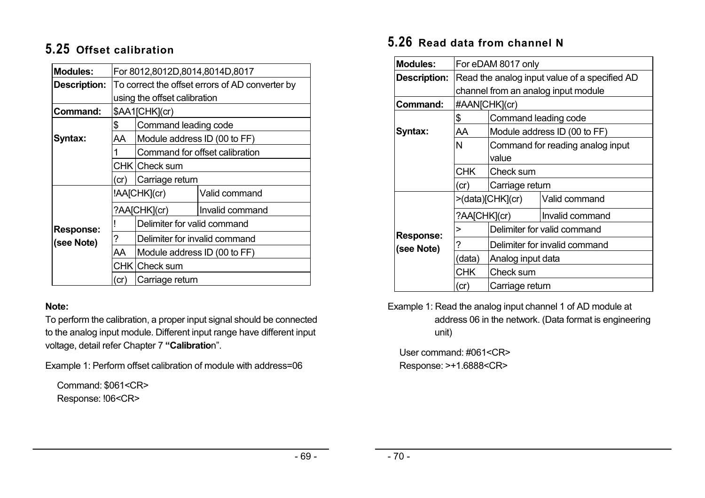# **5.25 Offset calibration**

| <b>Modules:</b>                | For 8012,8012D,8014,8014D,8017                  |                               |                                |
|--------------------------------|-------------------------------------------------|-------------------------------|--------------------------------|
| <b>Description:</b>            | To correct the offset errors of AD converter by |                               |                                |
|                                |                                                 | using the offset calibration  |                                |
| Command:                       |                                                 | \$AA1[CHK](cr)                |                                |
|                                | \$                                              | Command leading code          |                                |
| Syntax:                        | AA                                              | Module address ID (00 to FF)  |                                |
|                                |                                                 |                               | Command for offset calibration |
|                                | CHK Check sum                                   |                               |                                |
|                                | Carriage return<br>(cr)                         |                               |                                |
|                                | !AA[CHK](cr)<br>Valid command                   |                               |                                |
|                                |                                                 | ?AA[CHK](cr)                  | Invalid command                |
|                                |                                                 | Delimiter for valid command   |                                |
| <b>Response:</b><br>(see Note) | 7                                               | Delimiter for invalid command |                                |
|                                | AA                                              | Module address ID (00 to FF)  |                                |
|                                |                                                 | CHK   Check sum               |                                |
|                                | (cr                                             | Carriage return               |                                |

### **Note:**

To perform the calibration, a proper input signal should be connected to the analog input module. Different input range have different input voltage, detail refer Chapter 7 **"Calibratio**n".

Example 1: Perform offset calibration of module with address=06

Command: \$061<CR> Response: !06<CR>

# **5.26 Read data from channel N**

| <b>Modules:</b>     | For eDAM 8017 only                            |                               |                                  |  |
|---------------------|-----------------------------------------------|-------------------------------|----------------------------------|--|
| <b>Description:</b> | Read the analog input value of a specified AD |                               |                                  |  |
|                     | channel from an analog input module           |                               |                                  |  |
| Command:            | #AAN[CHK](cr)                                 |                               |                                  |  |
|                     | \$                                            | Command leading code          |                                  |  |
| Syntax:             | AA                                            |                               | Module address ID (00 to FF)     |  |
|                     | N                                             |                               | Command for reading analog input |  |
|                     |                                               | value                         |                                  |  |
|                     | <b>CHK</b><br>Check sum                       |                               |                                  |  |
|                     | Carriage return<br>(cr)                       |                               |                                  |  |
|                     |                                               | >(data)[CHK](cr)              | Valid command                    |  |
|                     | ?AA[CHK](cr)                                  |                               | Invalid command                  |  |
| <b>Response:</b>    | >                                             |                               | Delimiter for valid command      |  |
| (see Note)          | ?                                             | Delimiter for invalid command |                                  |  |
|                     | (data)                                        | Analog input data             |                                  |  |
|                     | CHK.                                          | Check sum                     |                                  |  |
|                     | (cr)                                          | Carriage return               |                                  |  |

Example 1: Read the analog input channel 1 of AD module at address 06 in the network. (Data format is engineering unit)

User command: #061<CR> Response: >+1.6888<CR>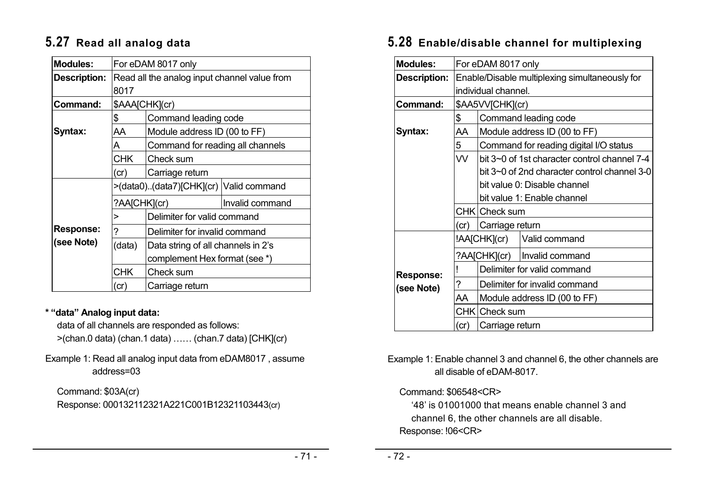# **5.27 Read all analog data**

| <b>Modules:</b>     | For eDAM 8017 only                                                                                       |                                  |                 |
|---------------------|----------------------------------------------------------------------------------------------------------|----------------------------------|-----------------|
| <b>Description:</b> | Read all the analog input channel value from<br>8017                                                     |                                  |                 |
| Command:            |                                                                                                          | \$AAA[CHK](cr)                   |                 |
|                     | \$                                                                                                       | Command leading code             |                 |
| Syntax:             | AA                                                                                                       | Module address ID (00 to FF)     |                 |
|                     | A                                                                                                        | Command for reading all channels |                 |
|                     | CHK.<br>Check sum                                                                                        |                                  |                 |
|                     | Carriage return<br>(cr)                                                                                  |                                  |                 |
|                     | >(data0)(data7)[CHK](cr)   Valid command                                                                 |                                  |                 |
|                     | ?AA[CHK](cr)                                                                                             |                                  | Invalid command |
|                     | >                                                                                                        | Delimiter for valid command      |                 |
| <b>Response:</b>    | ?                                                                                                        | Delimiter for invalid command    |                 |
| (see Note)          | (data)<br>Data string of all channels in 2's<br>complement Hex format (see *)<br><b>CHK</b><br>Check sum |                                  |                 |
|                     |                                                                                                          |                                  |                 |
|                     |                                                                                                          |                                  |                 |
|                     | (cr)                                                                                                     | Carriage return                  |                 |

### **\* "data" Analog input data:**

data of all channels are responded as follows:

>(chan.0 data) (chan.1 data) …… (chan.7 data) [CHK](cr)

### Example 1: Read all analog input data from eDAM8017 , assume address=03

Command: \$03A(cr) Response: 000132112321A221C001B12321103443(cr)

# **5.28 Enable/disable channel for multiplexing**

| <b>Modules:</b>     | For eDAM 8017 only                             |                              |                                              |  |
|---------------------|------------------------------------------------|------------------------------|----------------------------------------------|--|
| <b>Description:</b> | Enable/Disable multiplexing simultaneously for |                              |                                              |  |
|                     |                                                | individual channel.          |                                              |  |
| Command:            |                                                | \$AA5VV[CHK](cr)             |                                              |  |
|                     | \$                                             |                              | Command leading code                         |  |
| Syntax:             | AA                                             |                              | Module address ID (00 to FF)                 |  |
|                     | 5                                              |                              | Command for reading digital I/O status       |  |
|                     | VV.                                            |                              | bit 3~0 of 1st character control channel 7-4 |  |
|                     |                                                |                              | bit 3~0 of 2nd character control channel 3-0 |  |
|                     |                                                | bit value 0: Disable channel |                                              |  |
|                     |                                                |                              | bit value 1: Enable channel                  |  |
|                     |                                                | CHK Check sum                |                                              |  |
|                     | (cr)                                           | Carriage return              |                                              |  |
|                     |                                                |                              | !AA[CHK](cr)   Valid command                 |  |
|                     |                                                |                              | ?AA[CHK](cr)   Invalid command               |  |
| <b>Response:</b>    |                                                | Delimiter for valid command  |                                              |  |
| (see Note)          | ?                                              |                              | Delimiter for invalid command                |  |
|                     | AA                                             |                              | Module address ID (00 to FF)                 |  |
|                     |                                                | CHK Check sum                |                                              |  |
|                     | (cr)                                           | Carriage return              |                                              |  |

### Example 1: Enable channel 3 and channel 6, the other channels are all disable of eDAM-8017.

### Command: \$06548<CR>

'48' is 01001000 that means enable channel 3 and channel 6, the other channels are all disable. Response: !06<CR>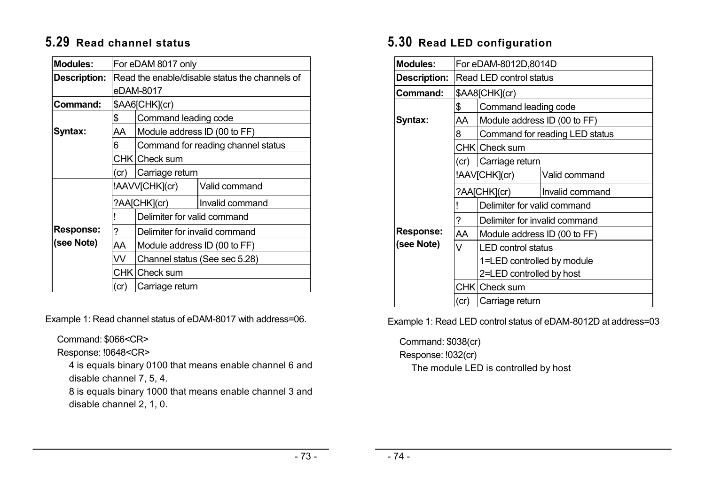# **5.29 Read channel status**

| <b>Modules:</b>     | For eDAM 8017 only                             |                               |                                    |  |
|---------------------|------------------------------------------------|-------------------------------|------------------------------------|--|
| <b>Description:</b> | Read the enable/disable status the channels of |                               |                                    |  |
|                     |                                                | eDAM-8017                     |                                    |  |
| Command:            |                                                | \$AA6[CHK](cr)                |                                    |  |
|                     | \$                                             | Command leading code          |                                    |  |
| Syntax:             | AA                                             | Module address ID (00 to FF)  |                                    |  |
|                     | 6                                              |                               | Command for reading channel status |  |
|                     |                                                | CHK   Check sum               |                                    |  |
|                     | Carriage return<br>(cr)                        |                               |                                    |  |
|                     |                                                | !AAVV[CHK](cr)                | Valid command                      |  |
|                     |                                                | ?AA[CHK](cr)                  | Invalid command                    |  |
|                     |                                                | Delimiter for valid command   |                                    |  |
| <b>Response:</b>    | 7                                              | Delimiter for invalid command |                                    |  |
| (see Note)          | AA                                             | Module address ID (00 to FF)  |                                    |  |
|                     | VV.                                            |                               | Channel status (See sec 5.28)      |  |
|                     |                                                | CHK Check sum                 |                                    |  |
|                     | Carriage return<br>(cr)                        |                               |                                    |  |

Example 1: Read channel status of eDAM-8017 with address=06.

Command: \$066<CR>

Response: !0648<CR>

4 is equals binary 0100 that means enable channel 6 and disable channel 7, 5, 4.

8 is equals binary 1000 that means enable channel 3 and disable channel 2, 1, 0.

# **5.30 Read LED configuration**

| <b>Modules:</b>     | For eDAM-8012D,8014D    |                               |                                |
|---------------------|-------------------------|-------------------------------|--------------------------------|
| <b>Description:</b> | Read LED control status |                               |                                |
| Command:            |                         | \$AA8[CHK](cr)                |                                |
|                     | \$                      | Command leading code          |                                |
| Syntax:             | AA                      | Module address ID (00 to FF)  |                                |
|                     | 8                       |                               | Command for reading LED status |
|                     |                         | CHK Check sum                 |                                |
|                     | (cr)                    | Carriage return               |                                |
|                     |                         | !AAV[CHK](cr)                 | Valid command                  |
|                     |                         | ?AA[CHK](cr)                  | Invalid command                |
|                     |                         | Delimiter for valid command   |                                |
|                     | ?                       | Delimiter for invalid command |                                |
| <b>Response:</b>    | AA                      | Module address ID (00 to FF)  |                                |
| (see Note)          | $\vee$                  | <b>LED control status</b>     |                                |
|                     |                         | 1=LED controlled by module    |                                |
|                     |                         | 2=LED controlled by host      |                                |
|                     |                         | CHK Check sum                 |                                |
|                     | (cr)                    | Carriage return               |                                |

Example 1: Read LED control status of eDAM-8012D at address=03

Command: \$038(cr)

Response: !032(cr)

The module LED is controlled by host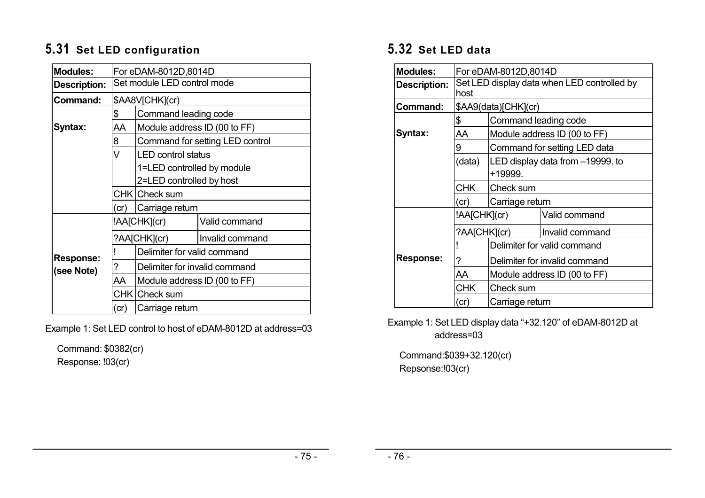# **5.31 Set LED configuration**

| <b>Modules:</b>     | For eDAM-8012D,8014D        |                               |                                 |  |
|---------------------|-----------------------------|-------------------------------|---------------------------------|--|
| <b>Description:</b> | Set module LED control mode |                               |                                 |  |
| Command:            | \$AA8V[CHK](cr)             |                               |                                 |  |
|                     | \$                          | Command leading code          |                                 |  |
| Syntax:             | AA                          | Module address ID (00 to FF)  |                                 |  |
|                     | 8                           |                               | Command for setting LED control |  |
|                     | V                           | <b>LED control status</b>     |                                 |  |
|                     |                             | 1=LED controlled by module    |                                 |  |
|                     |                             | 2=LED controlled by host      |                                 |  |
|                     |                             | CHK Check sum                 |                                 |  |
|                     | (cr)                        | Carriage return               |                                 |  |
|                     |                             | !AA[CHK](cr)                  | Valid command                   |  |
|                     |                             | ?AA[CHK](cr)                  | Invalid command                 |  |
| <b>Response:</b>    |                             | Delimiter for valid command   |                                 |  |
| (see Note)          | 7                           | Delimiter for invalid command |                                 |  |
|                     | AA                          | Module address ID (00 to FF)  |                                 |  |
|                     |                             | CHK   Check sum               |                                 |  |
|                     | Carriage return<br>(cr)     |                               |                                 |  |

Example 1: Set LED control to host of eDAM-8012D at address=03

Command: \$0382(cr) Response: !03(cr)

# **5.32 Set LED data**

| <b>Modules:</b>     | For eDAM-8012D,8014D                                |                      |                                  |  |
|---------------------|-----------------------------------------------------|----------------------|----------------------------------|--|
| <b>Description:</b> | Set LED display data when LED controlled by<br>host |                      |                                  |  |
| Command:            |                                                     | \$AA9(data)[CHK](cr) |                                  |  |
|                     | \$                                                  | Command leading code |                                  |  |
| Syntax:             | AA                                                  |                      | Module address ID (00 to FF)     |  |
|                     | 9                                                   |                      | Command for setting LED data     |  |
|                     | (data)                                              |                      | LED display data from -19999. to |  |
|                     |                                                     | +19999.              |                                  |  |
|                     | <b>CHK</b>                                          | Check sum            |                                  |  |
|                     | (c)                                                 | Carriage return      |                                  |  |
|                     | !AA[CHK](cr)<br>Valid command                       |                      |                                  |  |
|                     | ?AA[CHK](cr)                                        |                      | Invalid command                  |  |
|                     |                                                     |                      | Delimiter for valid command      |  |
| <b>Response:</b>    | ?                                                   |                      | Delimiter for invalid command    |  |
|                     | AA                                                  |                      | Module address ID (00 to FF)     |  |
|                     | <b>CHK</b>                                          | Check sum            |                                  |  |
|                     | (cr)                                                | Carriage return      |                                  |  |

Example 1: Set LED display data "+32.120" of eDAM-8012D at address=03

Command:\$039+32.120(cr) Repsonse:!03(cr)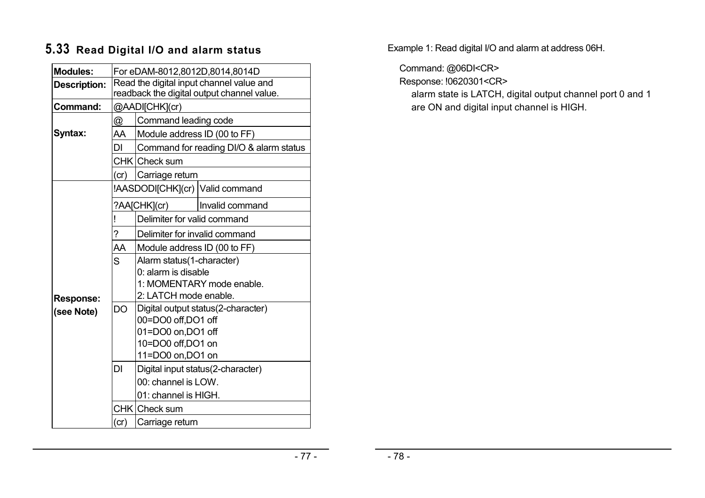# **5.33 Read Digital I/O and alarm status**

| <b>Modules:</b>     | For eDAM-8012,8012D,8014,8014D                                                         |                               |                                         |
|---------------------|----------------------------------------------------------------------------------------|-------------------------------|-----------------------------------------|
| <b>Description:</b> | Read the digital input channel value and<br>readback the digital output channel value. |                               |                                         |
|                     |                                                                                        |                               |                                         |
| Command:            |                                                                                        | @AADI[CHK](cr)                |                                         |
|                     | $^{\textregistered}$                                                                   | Command leading code          |                                         |
| Syntax:             | AA                                                                                     | Module address ID (00 to FF)  |                                         |
|                     | DI                                                                                     |                               | Command for reading DI/O & alarm status |
|                     |                                                                                        | CHK Check sum                 |                                         |
|                     | (cr)                                                                                   | Carriage return               |                                         |
|                     |                                                                                        |                               | !AASDODI[CHK](cr) Valid command         |
|                     |                                                                                        | ?AA[CHK](cr)                  | Invalid command                         |
|                     |                                                                                        | Delimiter for valid command   |                                         |
|                     | ?                                                                                      | Delimiter for invalid command |                                         |
|                     | AA                                                                                     | Module address ID (00 to FF)  |                                         |
|                     | S                                                                                      | Alarm status(1-character)     |                                         |
|                     |                                                                                        | 0: alarm is disable           |                                         |
|                     |                                                                                        |                               | 1: MOMENTARY mode enable.               |
| <b>Response:</b>    |                                                                                        | 2: LATCH mode enable.         |                                         |
| (see Note)          | <b>DO</b>                                                                              |                               | Digital output status(2-character)      |
|                     |                                                                                        | 00=DO0 off,DO1 off            |                                         |
|                     |                                                                                        | 01=DO0 on,DO1 off             |                                         |
|                     |                                                                                        | 10=DO0 off,DO1 on             |                                         |
|                     |                                                                                        | 11=DO0 on, DO1 on             |                                         |
|                     | DI                                                                                     |                               | Digital input status(2-character)       |
|                     |                                                                                        | 00: channel is LOW.           |                                         |
|                     |                                                                                        | 01: channel is HIGH.          |                                         |
|                     |                                                                                        | CHK Check sum                 |                                         |
|                     | Carriage return<br>(cr)                                                                |                               |                                         |

Example 1: Read digital I/O and alarm at address 06H.

Command: @06DI<CR>

Response: !0620301<CR>

alarm state is LATCH, digital output channel port 0 and 1 are ON and digital input channel is HIGH.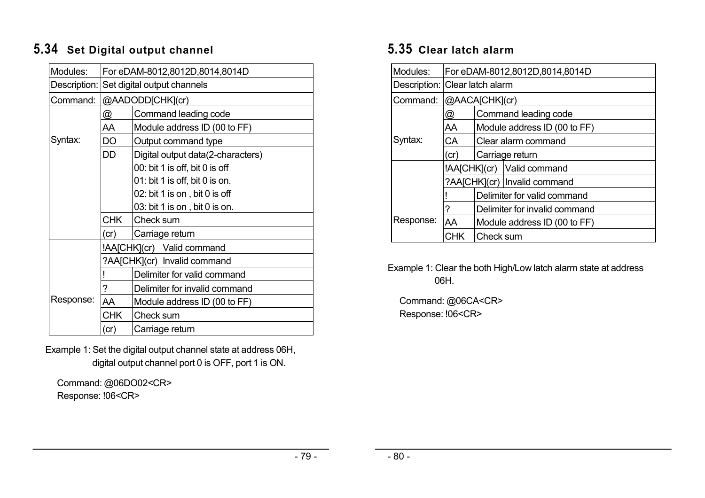# **5.34 Set Digital output channel**

| Modules:  | For eDAM-8012,8012D,8014,8014D           |                                   |  |  |
|-----------|------------------------------------------|-----------------------------------|--|--|
|           | Description: Set digital output channels |                                   |  |  |
| Command:  | @AADODD[CHK](cr)                         |                                   |  |  |
|           | <u>@</u>                                 | Command leading code              |  |  |
|           | AA                                       | Module address ID (00 to FF)      |  |  |
| Syntax:   | DO                                       | Output command type               |  |  |
|           | DD                                       | Digital output data(2-characters) |  |  |
|           |                                          | 00: bit 1 is off, bit 0 is off    |  |  |
|           |                                          | 01: bit 1 is off, bit 0 is on.    |  |  |
|           |                                          | 02: bit 1 is on, bit 0 is off     |  |  |
|           |                                          | 03: bit 1 is on, bit 0 is on.     |  |  |
|           | <b>CHK</b>                               | Check sum                         |  |  |
|           | (cr)                                     | Carriage return                   |  |  |
|           |                                          | !AA[CHK](cr)   Valid command      |  |  |
|           |                                          | ?AA[CHK](cr)   Invalid command    |  |  |
|           |                                          | Delimiter for valid command       |  |  |
|           | ?                                        | Delimiter for invalid command     |  |  |
| Response: | AA                                       | Module address ID (00 to FF)      |  |  |
|           | CHK.<br>Check sum                        |                                   |  |  |
|           | (cr)<br>Carriage return                  |                                   |  |  |

Example 1: Set the digital output channel state at address 06H, digital output channel port 0 is OFF, port 1 is ON.

Command: @06DO02<CR> Response: !06<CR>

# **5.35 Clear latch alarm**

| Modules:                       | For eDAM-8012,8012D,8014,8014D                         |                                |                              |  |
|--------------------------------|--------------------------------------------------------|--------------------------------|------------------------------|--|
| Description: Clear latch alarm |                                                        |                                |                              |  |
| Command:                       |                                                        | @AACA[CHK](cr)                 |                              |  |
|                                | @                                                      |                                | Command leading code         |  |
|                                | AA                                                     |                                | Module address ID (00 to FF) |  |
| Syntax:                        | СA                                                     | Clear alarm command            |                              |  |
|                                | (cr)                                                   | Carriage return                |                              |  |
|                                | !AA[CHK](cr)   Valid command                           |                                |                              |  |
|                                |                                                        | ?AA[CHK](cr)   Invalid command |                              |  |
|                                |                                                        | Delimiter for valid command    |                              |  |
|                                | ?                                                      | Delimiter for invalid command  |                              |  |
| Response:                      | AA<br>Module address ID (00 to FF)<br>CНК<br>Check sum |                                |                              |  |
|                                |                                                        |                                |                              |  |

Example 1: Clear the both High/Low latch alarm state at address 06H.

Command: @06CA<CR> Response: !06<CR>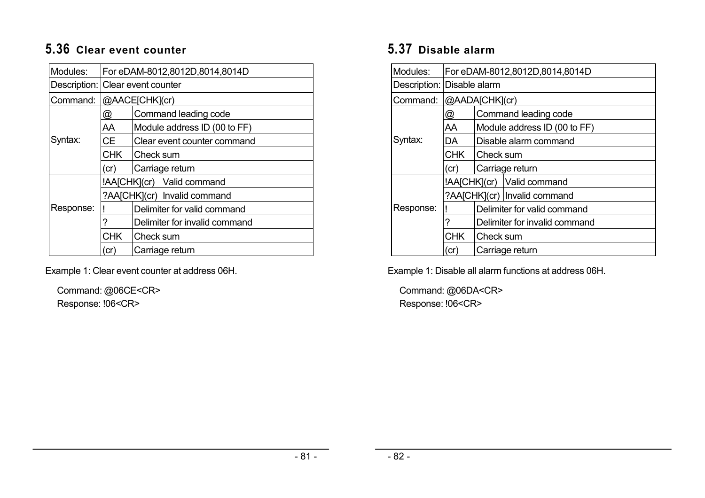# **5.36 Clear event counter**

| Modules:                         | For eDAM-8012,8012D,8014,8014D                                |                               |                              |  |
|----------------------------------|---------------------------------------------------------------|-------------------------------|------------------------------|--|
| Description: Clear event counter |                                                               |                               |                              |  |
| Command:                         |                                                               | @AACE[CHK](cr)                |                              |  |
|                                  | @                                                             |                               | Command leading code         |  |
|                                  | AA                                                            |                               | Module address ID (00 to FF) |  |
| Syntax:                          | CE.                                                           |                               | Clear event counter command  |  |
|                                  | <b>CHK</b>                                                    | Check sum                     |                              |  |
|                                  | (cr)                                                          | Carriage return               |                              |  |
|                                  |                                                               |                               | !AA[CHK](cr) Valid command   |  |
|                                  | ?AA[CHK](cr)   Invalid command<br>Delimiter for valid command |                               |                              |  |
| Response:                        |                                                               |                               |                              |  |
|                                  | ?                                                             | Delimiter for invalid command |                              |  |
|                                  | <b>CHK</b>                                                    | Check sum                     |                              |  |
|                                  | (cr)                                                          | Carriage return               |                              |  |

Example 1: Clear event counter at address 06H.

Command: @06CE<CR> Response: !06<CR>

# **5.37 Disable alarm**

| Modules:                   | For eDAM-8012,8012D,8014,8014D |                               |                                |  |
|----------------------------|--------------------------------|-------------------------------|--------------------------------|--|
| Description: Disable alarm |                                |                               |                                |  |
| Command:                   |                                | @AADA[CHK](cr)                |                                |  |
|                            | @                              |                               | Command leading code           |  |
|                            | AA                             |                               | Module address ID (00 to FF)   |  |
| Syntax:                    | DA                             | Disable alarm command         |                                |  |
|                            | <b>CHK</b>                     | <b>Check sum</b>              |                                |  |
|                            | (cr)                           | Carriage return               |                                |  |
|                            |                                |                               | !AA[CHK](cr)   Valid command   |  |
|                            |                                |                               | ?AA[CHK](cr)   Invalid command |  |
| Response:                  |                                | Delimiter for valid command   |                                |  |
|                            |                                | Delimiter for invalid command |                                |  |
|                            | <b>CHK</b>                     | Check sum                     |                                |  |
|                            | (cr)                           | Carriage return               |                                |  |

Example 1: Disable all alarm functions at address 06H.

Command: @06DA<CR> Response: !06<CR>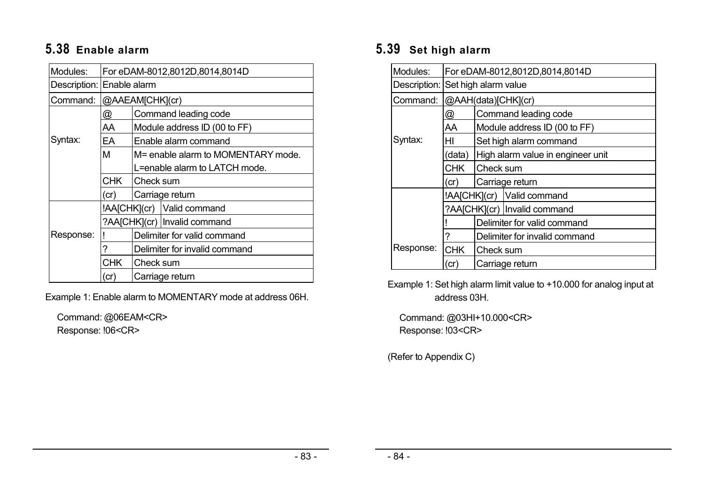# **5.38 Enable alarm**

| Modules:                  | For eDAM-8012,8012D,8014,8014D |                               |                                    |  |
|---------------------------|--------------------------------|-------------------------------|------------------------------------|--|
| Description: Enable alarm |                                |                               |                                    |  |
| Command:                  |                                | @AAEAM[CHK](cr)               |                                    |  |
|                           | @                              |                               | Command leading code               |  |
|                           | AA                             |                               | Module address ID (00 to FF)       |  |
| Syntax:                   | EA                             |                               | Enable alarm command               |  |
|                           | M                              |                               | M= enable alarm to MOMENTARY mode. |  |
|                           |                                | L=enable alarm to LATCH mode. |                                    |  |
|                           | <b>CHK</b>                     | Check sum                     |                                    |  |
|                           | (cr)                           | Carriage return               |                                    |  |
|                           |                                |                               | !AA[CHK](cr) Valid command         |  |
|                           |                                |                               | ?AA[CHK](cr)   Invalid command     |  |
| Response:                 |                                | Delimiter for valid command   |                                    |  |
|                           | ?                              | Delimiter for invalid command |                                    |  |
|                           | <b>CHK</b>                     | Check sum                     |                                    |  |
|                           | (cr)                           | Carriage return               |                                    |  |

Example 1: Enable alarm to MOMENTARY mode at address 06H.

Command: @06EAM<CR> Response: !06<CR>

# **5.39 Set high alarm**

| Modules:  | For eDAM-8012,8012D,8014,8014D |                                   |  |  |
|-----------|--------------------------------|-----------------------------------|--|--|
|           |                                | Description: Set high alarm value |  |  |
| Command:  |                                | @AAH(data)[CHK](cr)               |  |  |
|           | @                              | Command leading code              |  |  |
|           | AA                             | Module address ID (00 to FF)      |  |  |
| Syntax:   | HI                             | Set high alarm command            |  |  |
|           | (data)                         | High alarm value in engineer unit |  |  |
|           | CHK I                          | <b>ICheck sum</b>                 |  |  |
|           | (cr)                           | Carriage return                   |  |  |
|           |                                | !AA[CHK](cr) Valid command        |  |  |
|           |                                | ?AA[CHK](cr)   Invalid command    |  |  |
|           |                                | Delimiter for valid command       |  |  |
|           | ?                              | Delimiter for invalid command     |  |  |
| Response: | <b>CHK</b>                     | Check sum                         |  |  |
|           | (cr)                           | Carriage return                   |  |  |

Example 1: Set high alarm limit value to +10.000 for analog input at address 03H.

Command: @03HI+10.000<CR> Response: !03<CR>

(Refer to Appendix C)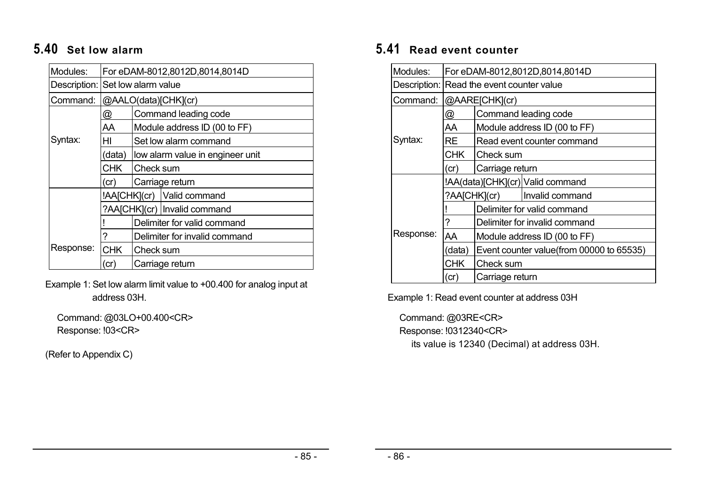# **5.40 Set low alarm**

| Modules:                         | For eDAM-8012,8012D,8014,8014D |                                  |                                |  |
|----------------------------------|--------------------------------|----------------------------------|--------------------------------|--|
| Description: Set low alarm value |                                |                                  |                                |  |
| Command:                         |                                |                                  | @AALO(data)[CHK](cr)           |  |
|                                  | @                              |                                  | Command leading code           |  |
|                                  | AA                             |                                  | Module address ID (00 to FF)   |  |
| Syntax:                          | HI                             |                                  | Set low alarm command          |  |
|                                  | (data)                         | low alarm value in engineer unit |                                |  |
|                                  | CHK.                           | Check sum                        |                                |  |
|                                  | (cr)                           | Carriage return                  |                                |  |
|                                  |                                |                                  | !AA[CHK](cr) Valid command     |  |
|                                  |                                |                                  | ?AA[CHK](cr)   Invalid command |  |
|                                  |                                | Delimiter for valid command      |                                |  |
|                                  | 7                              | Delimiter for invalid command    |                                |  |
| Response:                        | <b>CHK</b>                     | Check sum                        |                                |  |
|                                  | (cr)                           | Carriage return                  |                                |  |

Example 1: Set low alarm limit value to +00.400 for analog input at address 03H.

Command: @03LO+00.400<CR> Response: !03<CR>

(Refer to Appendix C)

# **5.41 Read event counter**

| Modules:                                  | For eDAM-8012,8012D,8014,8014D |                                          |                                  |  |
|-------------------------------------------|--------------------------------|------------------------------------------|----------------------------------|--|
| Description: Read the event counter value |                                |                                          |                                  |  |
| Command:                                  |                                | @AARE[CHK](cr)                           |                                  |  |
|                                           | @                              |                                          | Command leading code             |  |
|                                           | AA                             |                                          | Module address ID (00 to FF)     |  |
| Syntax:                                   | RE                             |                                          | Read event counter command       |  |
|                                           | <b>CHK</b>                     | <b>Check sum</b>                         |                                  |  |
|                                           | (cr)                           | Carriage return                          |                                  |  |
|                                           |                                |                                          | !AA(data)[CHK](cr) Valid command |  |
|                                           | ?AA[CHK](cr)                   |                                          | Invalid command                  |  |
|                                           |                                | Delimiter for valid command              |                                  |  |
|                                           | ?                              | Delimiter for invalid command            |                                  |  |
| Response:                                 | AA                             | Module address ID (00 to FF)             |                                  |  |
|                                           | (data)                         | Event counter value(from 00000 to 65535) |                                  |  |
|                                           | CHK.                           | Check sum                                |                                  |  |
|                                           | (cr)                           | Carriage return                          |                                  |  |

Example 1: Read event counter at address 03H

Command: @03RE<CR> Response: !0312340<CR> its value is 12340 (Decimal) at address 03H.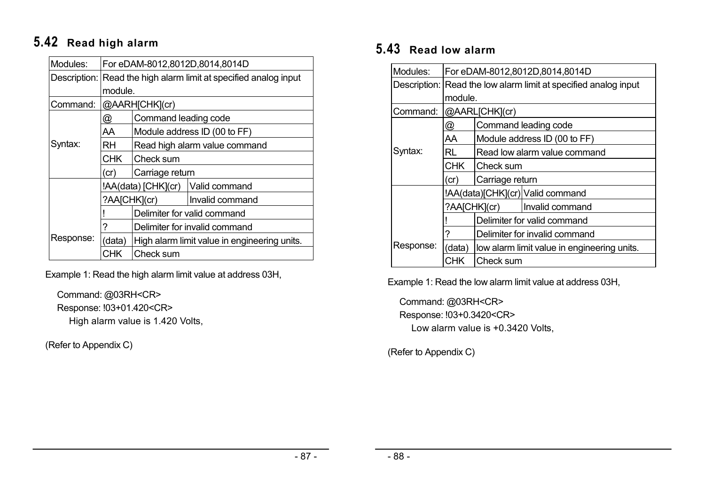# **5.42 Read high alarm**

| Modules:  | For eDAM-8012,8012D,8014,8014D                                   |                               |                                              |  |  |
|-----------|------------------------------------------------------------------|-------------------------------|----------------------------------------------|--|--|
|           | Description: Read the high alarm limit at specified analog input |                               |                                              |  |  |
|           | module.                                                          |                               |                                              |  |  |
| Command:  |                                                                  | @AARH[CHK](cr)                |                                              |  |  |
|           | @                                                                | Command leading code          |                                              |  |  |
|           | AA                                                               |                               | Module address ID (00 to FF)                 |  |  |
| Syntax:   | RH                                                               | Read high alarm value command |                                              |  |  |
|           | <b>CHK</b>                                                       | Check sum                     |                                              |  |  |
|           | (cr)                                                             | Carriage return               |                                              |  |  |
|           |                                                                  |                               | !AA(data) [CHK](cr)   Valid command          |  |  |
|           | ?AA[CHK](cr)                                                     |                               | Invalid command                              |  |  |
|           |                                                                  |                               | Delimiter for valid command                  |  |  |
|           | ?                                                                | Delimiter for invalid command |                                              |  |  |
| Response: | (data)                                                           |                               | High alarm limit value in engineering units. |  |  |
|           | <b>CHK</b>                                                       | Check sum                     |                                              |  |  |

Example 1: Read the high alarm limit value at address 03H,

Command: @03RH<CR> Response: !03+01.420<CR> High alarm value is 1.420 Volts,

(Refer to Appendix C)

# **5.43 Read low alarm**

| Modules:  | For eDAM-8012,8012D,8014,8014D                                  |                               |                                             |  |
|-----------|-----------------------------------------------------------------|-------------------------------|---------------------------------------------|--|
|           | Description: Read the low alarm limit at specified analog input |                               |                                             |  |
|           |                                                                 | module.                       |                                             |  |
| Command:  |                                                                 | @AARL[CHK](cr)                |                                             |  |
|           | @                                                               |                               | Command leading code                        |  |
|           | AA                                                              |                               | Module address ID (00 to FF)                |  |
| Syntax:   | RL                                                              | Read low alarm value command  |                                             |  |
|           | CHK I                                                           | ICheck sum                    |                                             |  |
|           | (cr)                                                            | Carriage return               |                                             |  |
|           |                                                                 |                               | !AA(data)[CHK](cr) Valid command            |  |
|           |                                                                 | ?AA[CHK](cr)                  | Invalid command                             |  |
|           |                                                                 |                               | Delimiter for valid command                 |  |
|           |                                                                 | Delimiter for invalid command |                                             |  |
| Response: | (data)                                                          |                               | low alarm limit value in engineering units. |  |
|           | CHK                                                             | Check sum                     |                                             |  |

Example 1: Read the low alarm limit value at address 03H,

Command: @03RH<CR> Response: !03+0.3420<CR> Low alarm value is +0.3420 Volts,

(Refer to Appendix C)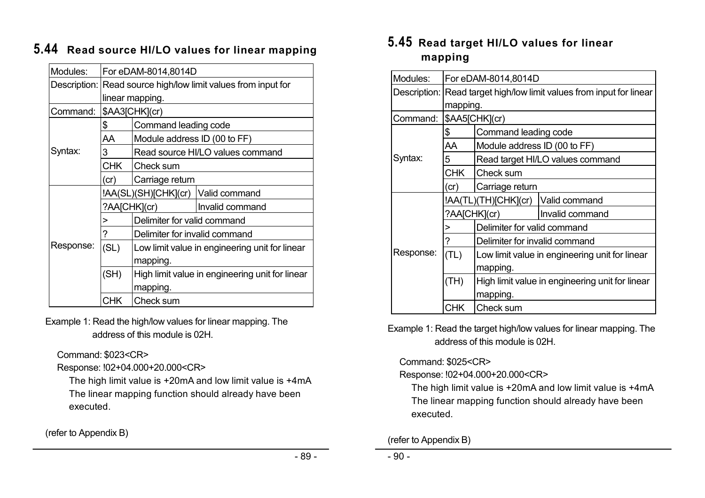| Modules:  | For eDAM-8014,8014D                                           |                                                 |                                      |  |  |
|-----------|---------------------------------------------------------------|-------------------------------------------------|--------------------------------------|--|--|
|           | Description: Read source high/low limit values from input for |                                                 |                                      |  |  |
|           | linear mapping.                                               |                                                 |                                      |  |  |
| Command:  |                                                               | \$AA3[CHK](cr)                                  |                                      |  |  |
|           | \$                                                            | Command leading code                            |                                      |  |  |
|           | AA                                                            | Module address ID (00 to FF)                    |                                      |  |  |
| Syntax:   | 3                                                             |                                                 | Read source HI/LO values command     |  |  |
|           | <b>CHK</b>                                                    | Check sum                                       |                                      |  |  |
|           | (cr)                                                          | Carriage return                                 |                                      |  |  |
|           |                                                               |                                                 | !AA(SL)(SH)[CHK](cr)   Valid command |  |  |
|           | ?AA[CHK](cr)                                                  |                                                 | Invalid command                      |  |  |
|           | >                                                             | Delimiter for valid command                     |                                      |  |  |
|           | ?                                                             | Delimiter for invalid command                   |                                      |  |  |
| Response: | (SL)                                                          | Low limit value in engineering unit for linear  |                                      |  |  |
|           |                                                               | mapping.                                        |                                      |  |  |
|           | (SH)                                                          | High limit value in engineering unit for linear |                                      |  |  |
|           |                                                               | mapping.                                        |                                      |  |  |
|           | CHK                                                           | Check sum                                       |                                      |  |  |

# **5.44 Read source HI/LO values for linear mapping**

Example 1: Read the high/low values for linear mapping. The address of this module is 02H.

Command: \$023<CR>

Response: !02+04.000+20.000<CR>

The high limit value is +20mA and low limit value is +4mA The linear mapping function should already have been executed.

(refer to Appendix B)

### **5.45 Read target HI/LO values for linear mapping**

| Modules:  | For eDAM-8014,8014D                                                  |                                                 |                                  |  |  |  |
|-----------|----------------------------------------------------------------------|-------------------------------------------------|----------------------------------|--|--|--|
|           | Description: Read target high/low limit values from input for linear |                                                 |                                  |  |  |  |
|           |                                                                      | mapping.                                        |                                  |  |  |  |
| Command:  |                                                                      | \$AA5[CHK](cr)                                  |                                  |  |  |  |
|           | \$                                                                   | Command leading code                            |                                  |  |  |  |
|           | AA                                                                   | Module address ID (00 to FF)                    |                                  |  |  |  |
| Syntax:   | 5                                                                    |                                                 | Read target HI/LO values command |  |  |  |
|           | <b>CHK</b>                                                           | Check sum                                       |                                  |  |  |  |
|           | (cr)                                                                 | Carriage return                                 |                                  |  |  |  |
|           | !AA(TL)(TH)[CHK](cr)                                                 |                                                 | Valid command                    |  |  |  |
|           | ?AA[CHK](cr)                                                         |                                                 | Invalid command                  |  |  |  |
|           | >                                                                    | Delimiter for valid command                     |                                  |  |  |  |
|           | ?                                                                    | Delimiter for invalid command                   |                                  |  |  |  |
| Response: | (TL)                                                                 | Low limit value in engineering unit for linear  |                                  |  |  |  |
|           |                                                                      | mapping.                                        |                                  |  |  |  |
|           | (TH)                                                                 | High limit value in engineering unit for linear |                                  |  |  |  |
|           |                                                                      | mapping.                                        |                                  |  |  |  |
|           | CHK                                                                  | Check sum                                       |                                  |  |  |  |

Example 1: Read the target high/low values for linear mapping. The address of this module is 02H.

#### Command: \$025<CR>

### Response: !02+04.000+20.000<CR>

The high limit value is +20mA and low limit value is +4mA The linear mapping function should already have been executed.

(refer to Appendix B)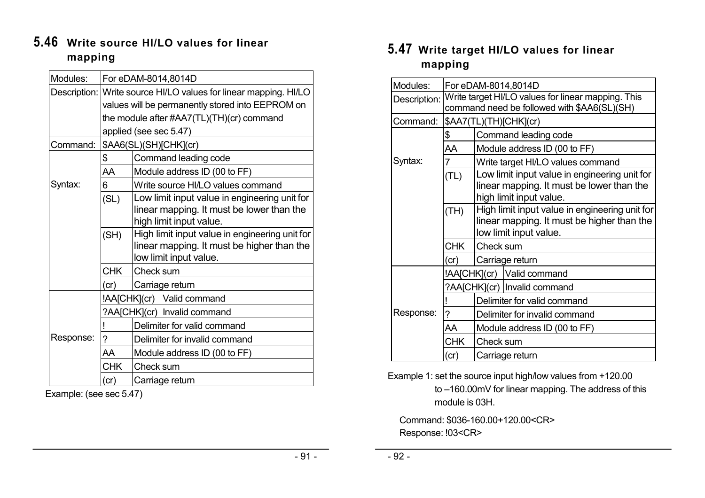### **5.46 Write source HI/LO values for linear mapping**

| Modules:<br>For eDAM-8014,8014D<br>Description: Write source HI/LO values for linear mapping. HI/LO<br>values will be permanently stored into EEPROM on<br>the module after #AA7(TL)(TH)(cr) command<br>applied (see sec 5.47)<br>\$AA6(SL)(SH)[CHK](cr)<br>Command:<br>\$<br>Command leading code<br>Module address ID (00 to FF)<br>AA<br>Syntax:<br>6<br>Write source HI/LO values command<br>Low limit input value in engineering unit for<br>(SL)<br>linear mapping. It must be lower than the<br>high limit input value.<br>High limit input value in engineering unit for<br>(SH)<br>linear mapping. It must be higher than the<br>low limit input value.<br><b>CHK</b><br>Check sum<br>Carriage return<br>(c)<br>!AA[CHK](cr) Valid command<br>?AA[CHK](cr)   Invalid command<br>Delimiter for valid command<br>Response:<br>?<br>Delimiter for invalid command<br>AA<br>Module address ID (00 to FF)<br><b>CHK</b><br>Check sum<br>(c)<br>Carriage return |  |  |  |  |
|--------------------------------------------------------------------------------------------------------------------------------------------------------------------------------------------------------------------------------------------------------------------------------------------------------------------------------------------------------------------------------------------------------------------------------------------------------------------------------------------------------------------------------------------------------------------------------------------------------------------------------------------------------------------------------------------------------------------------------------------------------------------------------------------------------------------------------------------------------------------------------------------------------------------------------------------------------------------|--|--|--|--|
|                                                                                                                                                                                                                                                                                                                                                                                                                                                                                                                                                                                                                                                                                                                                                                                                                                                                                                                                                                    |  |  |  |  |
|                                                                                                                                                                                                                                                                                                                                                                                                                                                                                                                                                                                                                                                                                                                                                                                                                                                                                                                                                                    |  |  |  |  |
|                                                                                                                                                                                                                                                                                                                                                                                                                                                                                                                                                                                                                                                                                                                                                                                                                                                                                                                                                                    |  |  |  |  |
|                                                                                                                                                                                                                                                                                                                                                                                                                                                                                                                                                                                                                                                                                                                                                                                                                                                                                                                                                                    |  |  |  |  |
|                                                                                                                                                                                                                                                                                                                                                                                                                                                                                                                                                                                                                                                                                                                                                                                                                                                                                                                                                                    |  |  |  |  |
|                                                                                                                                                                                                                                                                                                                                                                                                                                                                                                                                                                                                                                                                                                                                                                                                                                                                                                                                                                    |  |  |  |  |
|                                                                                                                                                                                                                                                                                                                                                                                                                                                                                                                                                                                                                                                                                                                                                                                                                                                                                                                                                                    |  |  |  |  |
|                                                                                                                                                                                                                                                                                                                                                                                                                                                                                                                                                                                                                                                                                                                                                                                                                                                                                                                                                                    |  |  |  |  |
|                                                                                                                                                                                                                                                                                                                                                                                                                                                                                                                                                                                                                                                                                                                                                                                                                                                                                                                                                                    |  |  |  |  |
|                                                                                                                                                                                                                                                                                                                                                                                                                                                                                                                                                                                                                                                                                                                                                                                                                                                                                                                                                                    |  |  |  |  |
|                                                                                                                                                                                                                                                                                                                                                                                                                                                                                                                                                                                                                                                                                                                                                                                                                                                                                                                                                                    |  |  |  |  |
|                                                                                                                                                                                                                                                                                                                                                                                                                                                                                                                                                                                                                                                                                                                                                                                                                                                                                                                                                                    |  |  |  |  |
|                                                                                                                                                                                                                                                                                                                                                                                                                                                                                                                                                                                                                                                                                                                                                                                                                                                                                                                                                                    |  |  |  |  |
|                                                                                                                                                                                                                                                                                                                                                                                                                                                                                                                                                                                                                                                                                                                                                                                                                                                                                                                                                                    |  |  |  |  |
|                                                                                                                                                                                                                                                                                                                                                                                                                                                                                                                                                                                                                                                                                                                                                                                                                                                                                                                                                                    |  |  |  |  |
|                                                                                                                                                                                                                                                                                                                                                                                                                                                                                                                                                                                                                                                                                                                                                                                                                                                                                                                                                                    |  |  |  |  |
|                                                                                                                                                                                                                                                                                                                                                                                                                                                                                                                                                                                                                                                                                                                                                                                                                                                                                                                                                                    |  |  |  |  |
|                                                                                                                                                                                                                                                                                                                                                                                                                                                                                                                                                                                                                                                                                                                                                                                                                                                                                                                                                                    |  |  |  |  |
|                                                                                                                                                                                                                                                                                                                                                                                                                                                                                                                                                                                                                                                                                                                                                                                                                                                                                                                                                                    |  |  |  |  |
|                                                                                                                                                                                                                                                                                                                                                                                                                                                                                                                                                                                                                                                                                                                                                                                                                                                                                                                                                                    |  |  |  |  |
|                                                                                                                                                                                                                                                                                                                                                                                                                                                                                                                                                                                                                                                                                                                                                                                                                                                                                                                                                                    |  |  |  |  |
|                                                                                                                                                                                                                                                                                                                                                                                                                                                                                                                                                                                                                                                                                                                                                                                                                                                                                                                                                                    |  |  |  |  |
|                                                                                                                                                                                                                                                                                                                                                                                                                                                                                                                                                                                                                                                                                                                                                                                                                                                                                                                                                                    |  |  |  |  |
|                                                                                                                                                                                                                                                                                                                                                                                                                                                                                                                                                                                                                                                                                                                                                                                                                                                                                                                                                                    |  |  |  |  |

Example: (see sec 5.47)

## **5.47 Write target HI/LO values for linear mapping**

| Modules:     | For eDAM-8014,8014D                                                                               |                                                                                                                        |                                |  |  |  |
|--------------|---------------------------------------------------------------------------------------------------|------------------------------------------------------------------------------------------------------------------------|--------------------------------|--|--|--|
| Description: | Write target HI/LO values for linear mapping. This<br>command need be followed with \$AA6(SL)(SH) |                                                                                                                        |                                |  |  |  |
| Command:     | \$AA7(TL)(TH)[CHK](cr)                                                                            |                                                                                                                        |                                |  |  |  |
|              | \$                                                                                                | Command leading code                                                                                                   |                                |  |  |  |
|              | AA                                                                                                | Module address ID (00 to FF)                                                                                           |                                |  |  |  |
| Syntax:      | 7                                                                                                 | Write target HI/LO values command                                                                                      |                                |  |  |  |
|              | (TL)                                                                                              | Low limit input value in engineering unit for<br>linear mapping. It must be lower than the<br>high limit input value.  |                                |  |  |  |
|              | (TH)                                                                                              | High limit input value in engineering unit for<br>linear mapping. It must be higher than the<br>low limit input value. |                                |  |  |  |
|              | <b>CHK</b>                                                                                        | Check sum                                                                                                              |                                |  |  |  |
|              | (cr)                                                                                              | Carriage return                                                                                                        |                                |  |  |  |
|              |                                                                                                   |                                                                                                                        | !AA[CHK](cr) Valid command     |  |  |  |
| Response:    |                                                                                                   |                                                                                                                        | ?AA[CHK](cr)   Invalid command |  |  |  |
|              |                                                                                                   | Delimiter for valid command                                                                                            |                                |  |  |  |
|              | ?                                                                                                 | Delimiter for invalid command                                                                                          |                                |  |  |  |
|              | AA                                                                                                | Module address ID (00 to FF)                                                                                           |                                |  |  |  |
|              | <b>CHK</b>                                                                                        | Check sum                                                                                                              |                                |  |  |  |
|              | (cr)                                                                                              | Carriage return                                                                                                        |                                |  |  |  |

Example 1: set the source input high/low values from +120.00 to –160.00mV for linear mapping. The address of this module is 03H.

Command: \$036-160.00+120.00<CR> Response: !03<CR>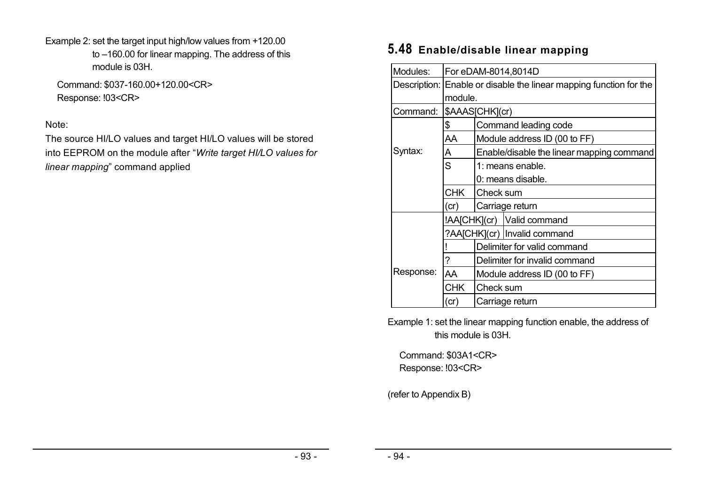Example 2: set the target input high/low values from +120.00 to –160.00 for linear mapping. The address of this module is 03H.

Command: \$037-160.00+120.00<CR> Response: !03<CR>

### Note:

The source HI/LO values and target HI/LO values will be stored into EEPROM on the module after "*Write target HI/LO values for linear mapping*" command applied

# **5.48 Enable/disable linear mapping**

| Modules:  | For eDAM-8014,8014D                                                |                                           |                                |  |  |  |
|-----------|--------------------------------------------------------------------|-------------------------------------------|--------------------------------|--|--|--|
|           | Description: Enable or disable the linear mapping function for the |                                           |                                |  |  |  |
|           | module.                                                            |                                           |                                |  |  |  |
| Command:  | \$AAAS[CHK](cr)                                                    |                                           |                                |  |  |  |
|           | \$                                                                 | Command leading code                      |                                |  |  |  |
|           | AA                                                                 | Module address ID (00 to FF)              |                                |  |  |  |
| Syntax:   | А                                                                  | Enable/disable the linear mapping command |                                |  |  |  |
|           | S                                                                  | 1: means enable.                          |                                |  |  |  |
|           |                                                                    | 0: means disable.                         |                                |  |  |  |
|           | <b>CHK</b>                                                         | Check sum                                 |                                |  |  |  |
|           | (cr)                                                               | Carriage return                           |                                |  |  |  |
|           |                                                                    |                                           | !AA[CHK](cr)   Valid command   |  |  |  |
|           |                                                                    |                                           | ?AA[CHK](cr)   Invalid command |  |  |  |
|           |                                                                    | Delimiter for valid command               |                                |  |  |  |
|           | ?                                                                  | Delimiter for invalid command             |                                |  |  |  |
| Response: | <b>AA</b>                                                          | Module address ID (00 to FF)              |                                |  |  |  |
|           | <b>CHK</b>                                                         | Check sum                                 |                                |  |  |  |
|           | (cr)                                                               | Carriage return                           |                                |  |  |  |

Example 1: set the linear mapping function enable, the address of this module is 03H.

Command: \$03A1<CR> Response: !03<CR>

(refer to Appendix B)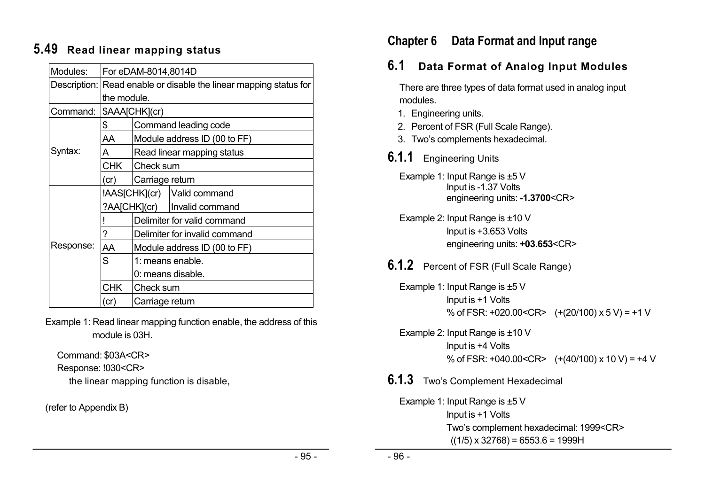# **5.49 Read linear mapping status**

| Modules:  | For eDAM-8014,8014D                                               |                               |                                |  |  |  |  |
|-----------|-------------------------------------------------------------------|-------------------------------|--------------------------------|--|--|--|--|
|           | Description: Read enable or disable the linear mapping status for |                               |                                |  |  |  |  |
|           | the module.                                                       |                               |                                |  |  |  |  |
| Command:  | \$AAA[CHK](cr)                                                    |                               |                                |  |  |  |  |
|           | \$                                                                | Command leading code          |                                |  |  |  |  |
|           | AA                                                                | Module address ID (00 to FF)  |                                |  |  |  |  |
| Syntax:   | А                                                                 | Read linear mapping status    |                                |  |  |  |  |
|           | CHK I                                                             | Check sum                     |                                |  |  |  |  |
|           | (cr)                                                              | Carriage return               |                                |  |  |  |  |
|           | !AAS[CHK](cr)   Valid command                                     |                               |                                |  |  |  |  |
|           |                                                                   |                               | ?AA[CHK](cr)   Invalid command |  |  |  |  |
|           |                                                                   | Delimiter for valid command   |                                |  |  |  |  |
|           | ?                                                                 | Delimiter for invalid command |                                |  |  |  |  |
| Response: | AA                                                                | Module address ID (00 to FF)  |                                |  |  |  |  |
|           | S                                                                 | 1: means enable.              |                                |  |  |  |  |
|           |                                                                   | 0: means disable.             |                                |  |  |  |  |
|           | <b>CHK</b>                                                        | Check sum                     |                                |  |  |  |  |
|           | (cr                                                               | Carriage return               |                                |  |  |  |  |

Example 1: Read linear mapping function enable, the address of this module is 03H.

Command: \$03A<CR> Response: !030<CR> the linear mapping function is disable,

(refer to Appendix B)

# **Chapter 6 Data Format and Input range**

# **6.1 Data Format of Analog Input Modules**

There are three types of data format used in analog input modules.

- 1. Engineering units.
- 2. Percent of FSR (Full Scale Range).
- 3. Two's complements hexadecimal.
- **6.1.1** Engineering Units
	- Example 1: Input Range is ±5 V Input is -1.37 Volts engineering units: **-1.3700**<CR>

Example 2: Input Range is ±10 V Input is +3.653 Volts engineering units: **+03.653**<CR>

- **6.1.2** Percent of FSR (Full Scale Range)
	- Example 1: Input Range is ±5 V Input is +1 Volts % of FSR: +020.00<CR>  $(+ (20/100) \times 5 V) = +1 V$

Example 2: Input Range is ±10 V Input is +4 Volts % of FSR: +040.00<CR>  $(+ (40/100) \times 10 \text{ V}) = +4 \text{ V}$ 

### **6.1.3** Two's Complement Hexadecimal

Example 1: Input Range is ±5 V Input is +1 Volts Two's complement hexadecimal: 1999<CR>  $((1/5) \times 32768) = 6553.6 = 1999H$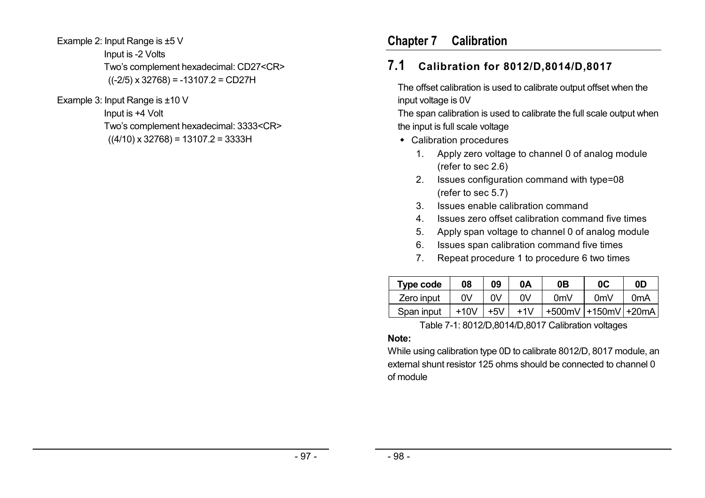Example 2: Input Range is ±5 V Input is -2 Volts Two's complement hexadecimal: CD27<CR>  $((-2/5) \times 32768) = -13107.2 = CD27H$ 

Example 3: Input Range is ±10 V

Input is +4 Volt Two's complement hexadecimal: 3333<CR>  $((4/10) \times 32768) = 13107.2 = 3333H$ 

# **Chapter 7 Calibration**

# **7.1 Calibration for 8012/D,8014/D,8017**

The offset calibration is used to calibrate output offset when the input voltage is 0V

The span calibration is used to calibrate the full scale output when the input is full scale voltage

- Calibration procedures
	- 1. Apply zero voltage to channel 0 of analog module (refer to sec 2.6)
	- 2. Issues configuration command with type=08 (refer to sec 5.7)
	- 3. Issues enable calibration command
	- 4. Issues zero offset calibration command five times
	- 5. Apply span voltage to channel 0 of analog module
	- 6. Issues span calibration command five times
	- 7. Repeat procedure 1 to procedure 6 two times

| Type code  | 08   | 09    | 0Α    | 0В             | 0 <sup>C</sup>      | 0D               |
|------------|------|-------|-------|----------------|---------------------|------------------|
| Zero input | 0V   | OV    | 0V    | 0 <sub>m</sub> | 0mV                 | 0 <sub>m</sub> A |
| Span input | +10V | $+5V$ | $+1V$ |                | +500mV +150mV +20mA |                  |

Table 7-1: 8012/D,8014/D,8017 Calibration voltages

### **Note:**

While using calibration type 0D to calibrate 8012/D, 8017 module, an external shunt resistor 125 ohms should be connected to channel 0 of module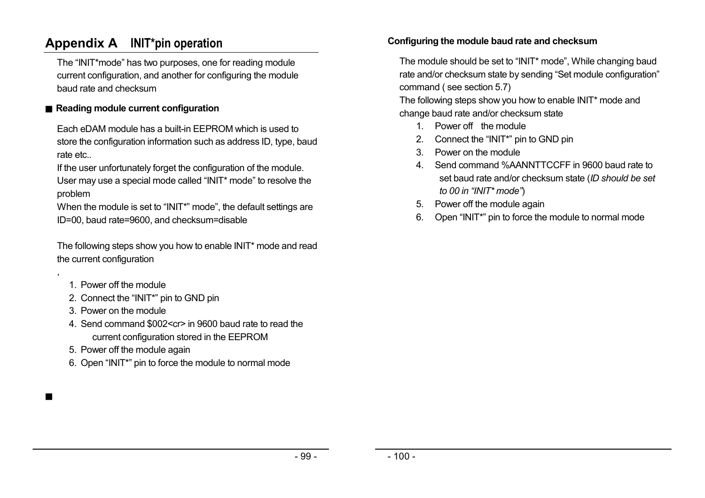# **Appendix A INIT\*pin operation**

The "INIT\*mode" has two purposes, one for reading module current configuration, and another for configuring the module baud rate and checksum

### ■ Reading module current configuration

Each eDAM module has a built-in EEPROM which is used to store the configuration information such as address ID, type, baud rate etc..

If the user unfortunately forget the configuration of the module. User may use a special mode called "INIT\* mode" to resolve the problem

When the module is set to "INIT\*" mode", the default settings are ID=00, baud rate=9600, and checksum=disable

The following steps show you how to enable INIT\* mode and read the current configuration

1. Power off the module

,

■

- 2. Connect the "INIT\*" pin to GND pin
- 3. Power on the module
- 4. Send command \$002<cr> in 9600 baud rate to read the current configuration stored in the EEPROM
- 5. Power off the module again
- 6. Open "INIT\*" pin to force the module to normal mode

#### **Configuring the module baud rate and checksum**

The module should be set to "INIT\* mode", While changing baud rate and/or checksum state by sending "Set module configuration" command ( see section 5.7)

The following steps show you how to enable INIT\* mode and change baud rate and/or checksum state

- 1. Power off the module
- 2. Connect the "INIT\*" pin to GND pin
- 3. Power on the module
- 4. Send command %AANNTTCCFF in 9600 baud rate to set baud rate and/or checksum state (*ID should be set to 00 in "INIT\* mode"*)
- 5. Power off the module again
- 6. Open "INIT\*" pin to force the module to normal mode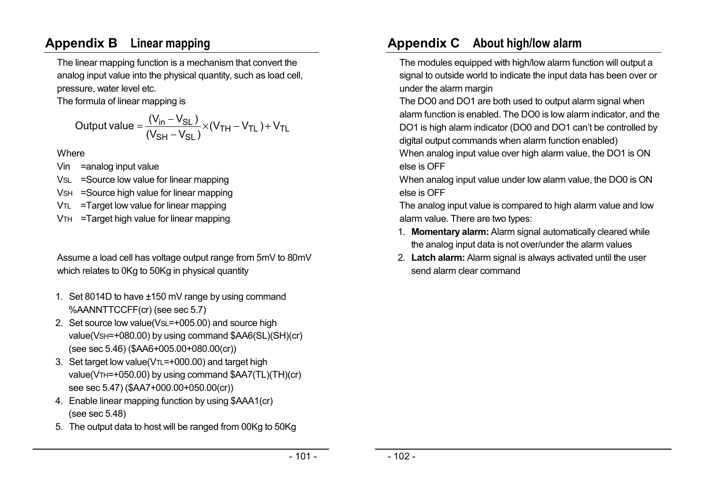# **Appendix B Linear mapping**

The linear mapping function is a mechanism that convert the analog input value into the physical quantity, such as load cell, pressure, water level etc.

The formula of linear mapping is

$$
\text{Output value} = \frac{(V_{in} - V_{SL})}{(V_{SH} - V_{SL})} \times (V_{TH} - V_{TL}) + V_{TL}
$$

Where

- Vin =analog input value
- VSL =Source low value for linear mapping
- VSH =Source high value for linear mapping
- VTL =Target low value for linear mapping
- VTH =Target high value for linear mapping

Assume a load cell has voltage output range from 5mV to 80mV which relates to 0Kg to 50Kg in physical quantity

- 1. Set 8014D to have ±150 mV range by using command %AANNTTCCFF(cr) (see sec 5.7)
- 2. Set source low value(VsL=+005.00) and source high value(VSH=+080.00) by using command \$AA6(SL)(SH)(cr) (see sec 5.46) (\$AA6+005.00+080.00(cr))
- 3. Set target low value( $VTL=+000.00$ ) and target high value(VTH=+050.00) by using command \$AA7(TL)(TH)(cr) see sec 5.47) (\$AA7+000.00+050.00(cr))
- 4. Enable linear mapping function by using \$AAA1(cr) (see sec 5.48)
- 5. The output data to host will be ranged from 00Kg to 50Kg

# **Appendix C About high/low alarm**

The modules equipped with high/low alarm function will output a signal to outside world to indicate the input data has been over or under the alarm margin

The DO0 and DO1 are both used to output alarm signal when alarm function is enabled. The DO0 is low alarm indicator, and the DO1 is high alarm indicator (DO0 and DO1 can't be controlled by digital output commands when alarm function enabled)

When analog input value over high alarm value, the DO1 is ON else is OFF

When analog input value under low alarm value, the DO0 is ON else is OFF

The analog input value is compared to high alarm value and low alarm value. There are two types:

- 1. **Momentary alarm:** Alarm signal automatically cleared while the analog input data is not over/under the alarm values
- 2. **Latch alarm:** Alarm signal is always activated until the user send alarm clear command